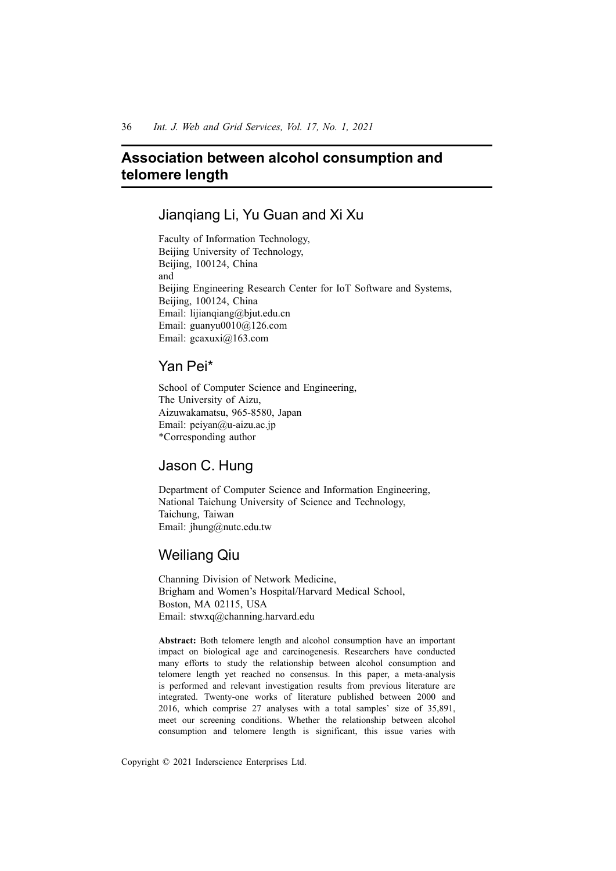# **Association between alcohol consumption and telomere length**

### Jianqiang Li, Yu Guan and Xi Xu

Faculty of Information Technology, Beijing University of Technology, Beijing, 100124, China and Beijing Engineering Research Center for IoT Software and Systems, Beijing, 100124, China Email: lijianqiang@bjut.edu.cn Email: guanyu0010@126.com Email: gcaxuxi@163.com

## Yan Pei\*

School of Computer Science and Engineering, The University of Aizu, Aizuwakamatsu, 965-8580, Japan Email: peiyan@u-aizu.ac.jp \*Corresponding author

# Jason C. Hung

Department of Computer Science and Information Engineering, National Taichung University of Science and Technology, Taichung, Taiwan Email: jhung@nutc.edu.tw

# Weiliang Qiu

Channing Division of Network Medicine, Brigham and Women's Hospital/Harvard Medical School, Boston, MA 02115, USA Email: stwxq@channing.harvard.edu

**Abstract:** Both telomere length and alcohol consumption have an important impact on biological age and carcinogenesis. Researchers have conducted many efforts to study the relationship between alcohol consumption and telomere length yet reached no consensus. In this paper, a meta-analysis is performed and relevant investigation results from previous literature are integrated. Twenty-one works of literature published between 2000 and 2016, which comprise 27 analyses with a total samples' size of 35,891, meet our screening conditions. Whether the relationship between alcohol consumption and telomere length is significant, this issue varies with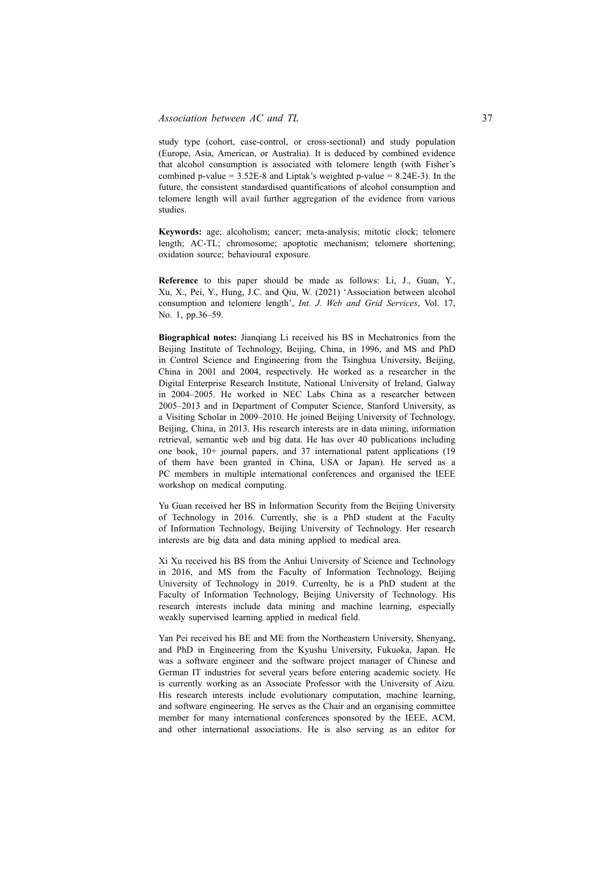study type (cohort, case-control, or cross-sectional) and study population (Europe, Asia, American, or Australia). It is deduced by combined evidence that alcohol consumption is associated with telomere length (with Fisher's combined p-value =  $3.52E-8$  and Liptak's weighted p-value =  $8.24E-3$ ). In the future, the consistent standardised quantifications of alcohol consumption and telomere length will avail further aggregation of the evidence from various studies.

**Keywords:** age; alcoholism; cancer; meta-analysis; mitotic clock; telomere length; AC-TL; chromosome; apoptotic mechanism; telomere shortening; oxidation source; behavioural exposure.

**Reference** to this paper should be made as follows: Li, J., Guan, Y., Xu, X., Pei, Y., Hung, J.C. and Qiu, W. (2021) 'Association between alcohol consumption and telomere length', *Int. J. Web and Grid Services*, Vol. 17, No. 1, pp.36–59.

**Biographical notes:** Jianqiang Li received his BS in Mechatronics from the Beijing Institute of Technology, Beijing, China, in 1996, and MS and PhD in Control Science and Engineering from the Tsinghua University, Beijing, China in 2001 and 2004, respectively. He worked as a researcher in the Digital Enterprise Research Institute, National University of Ireland, Galway in 2004–2005. He worked in NEC Labs China as a researcher between 2005–2013 and in Department of Computer Science, Stanford University, as a Visiting Scholar in 2009–2010. He joined Beijing University of Technology, Beijing, China, in 2013. His research interests are in data mining, information retrieval, semantic web and big data. He has over 40 publications including one book, 10+ journal papers, and 37 international patent applications (19 of them have been granted in China, USA or Japan). He served as a PC members in multiple international conferences and organised the IEEE workshop on medical computing.

Yu Guan received her BS in Information Security from the Beijing University of Technology in 2016. Currently, she is a PhD student at the Faculty of Information Technology, Beijing University of Technology. Her research interests are big data and data mining applied to medical area.

Xi Xu received his BS from the Anhui University of Science and Technology in 2016, and MS from the Faculty of Information Technology, Beijing University of Technology in 2019. Currenlty, he is a PhD student at the Faculty of Information Technology, Beijing University of Technology. His research interests include data mining and machine learning, especially weakly supervised learning applied in medical field.

Yan Pei received his BE and ME from the Northeastern University, Shenyang, and PhD in Engineering from the Kyushu University, Fukuoka, Japan. He was a software engineer and the software project manager of Chinese and German IT industries for several years before entering academic society. He is currently working as an Associate Professor with the University of Aizu. His research interests include evolutionary computation, machine learning, and software engineering. He serves as the Chair and an organising committee member for many international conferences sponsored by the IEEE, ACM, and other international associations. He is also serving as an editor for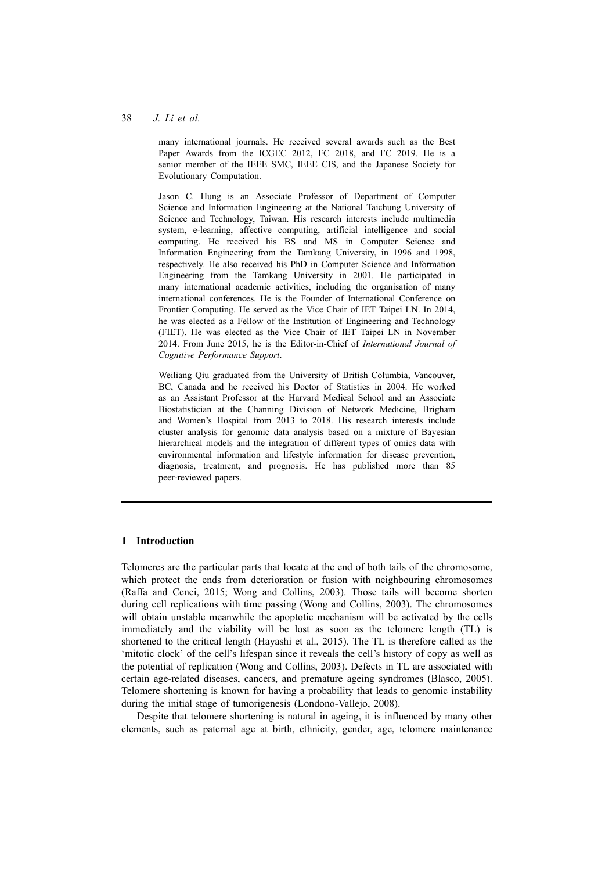#### 38 *J. Li et al.*

many international journals. He received several awards such as the Best Paper Awards from the ICGEC 2012, FC 2018, and FC 2019. He is a senior member of the IEEE SMC, IEEE CIS, and the Japanese Society for Evolutionary Computation.

Jason C. Hung is an Associate Professor of Department of Computer Science and Information Engineering at the National Taichung University of Science and Technology, Taiwan. His research interests include multimedia system, e-learning, affective computing, artificial intelligence and social computing. He received his BS and MS in Computer Science and Information Engineering from the Tamkang University, in 1996 and 1998, respectively. He also received his PhD in Computer Science and Information Engineering from the Tamkang University in 2001. He participated in many international academic activities, including the organisation of many international conferences. He is the Founder of International Conference on Frontier Computing. He served as the Vice Chair of IET Taipei LN. In 2014, he was elected as a Fellow of the Institution of Engineering and Technology (FIET). He was elected as the Vice Chair of IET Taipei LN in November 2014. From June 2015, he is the Editor-in-Chief of *International Journal of Cognitive Performance Support*.

Weiliang Qiu graduated from the University of British Columbia, Vancouver, BC, Canada and he received his Doctor of Statistics in 2004. He worked as an Assistant Professor at the Harvard Medical School and an Associate Biostatistician at the Channing Division of Network Medicine, Brigham and Women's Hospital from 2013 to 2018. His research interests include cluster analysis for genomic data analysis based on a mixture of Bayesian hierarchical models and the integration of different types of omics data with environmental information and lifestyle information for disease prevention, diagnosis, treatment, and prognosis. He has published more than 85 peer-reviewed papers.

#### **1 Introduction**

Telomeres are the particular parts that locate at the end of both tails of the chromosome, which protect the ends from deterioration or fusion with neighbouring chromosomes (Raffa and Cenci, 2015; Wong and Collins, 2003). Those tails will become shorten during cell replications with time passing (Wong and Collins, 2003). The chromosomes will obtain unstable meanwhile the apoptotic mechanism will be activated by the cells immediately and the viability will be lost as soon as the telomere length (TL) is shortened to the critical length (Hayashi et al., 2015). The TL is therefore called as the 'mitotic clock' of the cell's lifespan since it reveals the cell's history of copy as well as the potential of replication (Wong and Collins, 2003). Defects in TL are associated with certain age-related diseases, cancers, and premature ageing syndromes (Blasco, 2005). Telomere shortening is known for having a probability that leads to genomic instability during the initial stage of tumorigenesis (Londono-Vallejo, 2008).

Despite that telomere shortening is natural in ageing, it is influenced by many other elements, such as paternal age at birth, ethnicity, gender, age, telomere maintenance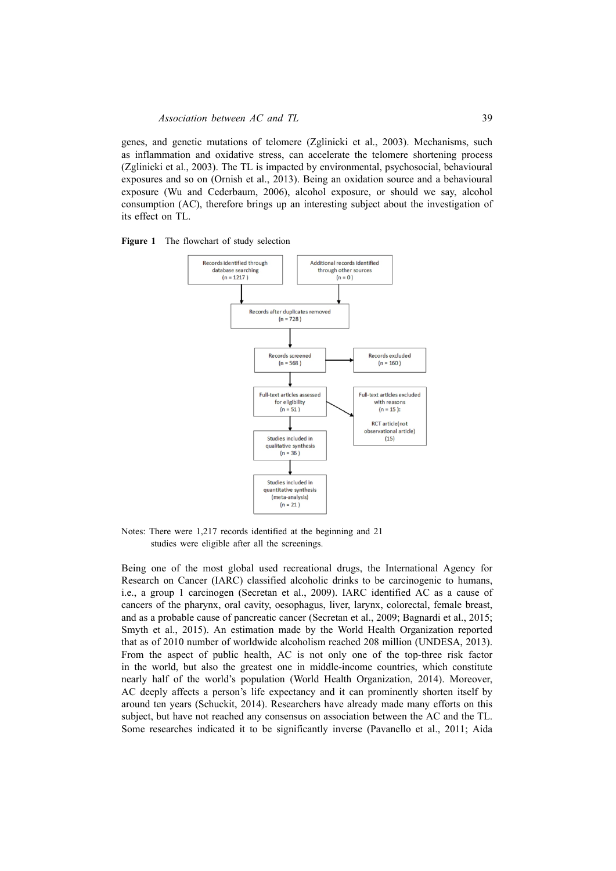genes, and genetic mutations of telomere (Zglinicki et al., 2003). Mechanisms, such as inflammation and oxidative stress, can accelerate the telomere shortening process (Zglinicki et al., 2003). The TL is impacted by environmental, psychosocial, behavioural exposures and so on (Ornish et al., 2013). Being an oxidation source and a behavioural exposure (Wu and Cederbaum, 2006), alcohol exposure, or should we say, alcohol consumption (AC), therefore brings up an interesting subject about the investigation of its effect on TL.





Notes: There were 1,217 records identified at the beginning and 21 studies were eligible after all the screenings.

Being one of the most global used recreational drugs, the International Agency for Research on Cancer (IARC) classified alcoholic drinks to be carcinogenic to humans, i.e., a group 1 carcinogen (Secretan et al., 2009). IARC identified AC as a cause of cancers of the pharynx, oral cavity, oesophagus, liver, larynx, colorectal, female breast, and as a probable cause of pancreatic cancer (Secretan et al., 2009; Bagnardi et al., 2015; Smyth et al., 2015). An estimation made by the World Health Organization reported that as of 2010 number of worldwide alcoholism reached 208 million (UNDESA, 2013). From the aspect of public health, AC is not only one of the top-three risk factor in the world, but also the greatest one in middle-income countries, which constitute nearly half of the world's population (World Health Organization, 2014). Moreover, AC deeply affects a person's life expectancy and it can prominently shorten itself by around ten years (Schuckit, 2014). Researchers have already made many efforts on this subject, but have not reached any consensus on association between the AC and the TL. Some researches indicated it to be significantly inverse (Pavanello et al., 2011; Aida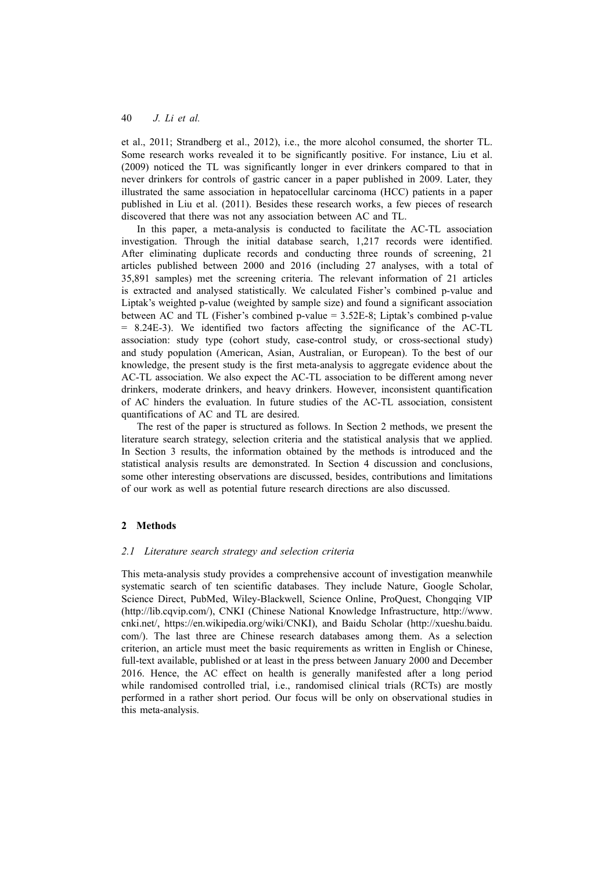et al., 2011; Strandberg et al., 2012), i.e., the more alcohol consumed, the shorter TL. Some research works revealed it to be significantly positive. For instance, Liu et al. (2009) noticed the TL was significantly longer in ever drinkers compared to that in never drinkers for controls of gastric cancer in a paper published in 2009. Later, they illustrated the same association in hepatocellular carcinoma (HCC) patients in a paper published in Liu et al. (2011). Besides these research works, a few pieces of research discovered that there was not any association between AC and TL.

In this paper, a meta-analysis is conducted to facilitate the AC-TL association investigation. Through the initial database search, 1,217 records were identified. After eliminating duplicate records and conducting three rounds of screening, 21 articles published between 2000 and 2016 (including 27 analyses, with a total of 35,891 samples) met the screening criteria. The relevant information of 21 articles is extracted and analysed statistically. We calculated Fisher's combined p-value and Liptak's weighted p-value (weighted by sample size) and found a significant association between AC and TL (Fisher's combined p-value = 3.52E-8; Liptak's combined p-value = 8.24E-3). We identified two factors affecting the significance of the AC-TL association: study type (cohort study, case-control study, or cross-sectional study) and study population (American, Asian, Australian, or European). To the best of our knowledge, the present study is the first meta-analysis to aggregate evidence about the AC-TL association. We also expect the AC-TL association to be different among never drinkers, moderate drinkers, and heavy drinkers. However, inconsistent quantification of AC hinders the evaluation. In future studies of the AC-TL association, consistent quantifications of AC and TL are desired.

The rest of the paper is structured as follows. In Section 2 methods, we present the literature search strategy, selection criteria and the statistical analysis that we applied. In Section 3 results, the information obtained by the methods is introduced and the statistical analysis results are demonstrated. In Section 4 discussion and conclusions, some other interesting observations are discussed, besides, contributions and limitations of our work as well as potential future research directions are also discussed.

### **2 Methods**

#### *2.1 Literature search strategy and selection criteria*

This meta-analysis study provides a comprehensive account of investigation meanwhile systematic search of ten scientific databases. They include Nature, Google Scholar, Science Direct, PubMed, Wiley-Blackwell, Science Online, ProQuest, Chongqing VIP (http://lib.cqvip.com/), CNKI (Chinese National Knowledge Infrastructure, http://www. cnki.net/, https://en.wikipedia.org/wiki/CNKI), and Baidu Scholar (http://xueshu.baidu. com/). The last three are Chinese research databases among them. As a selection criterion, an article must meet the basic requirements as written in English or Chinese, full-text available, published or at least in the press between January 2000 and December 2016. Hence, the AC effect on health is generally manifested after a long period while randomised controlled trial, i.e., randomised clinical trials (RCTs) are mostly performed in a rather short period. Our focus will be only on observational studies in this meta-analysis.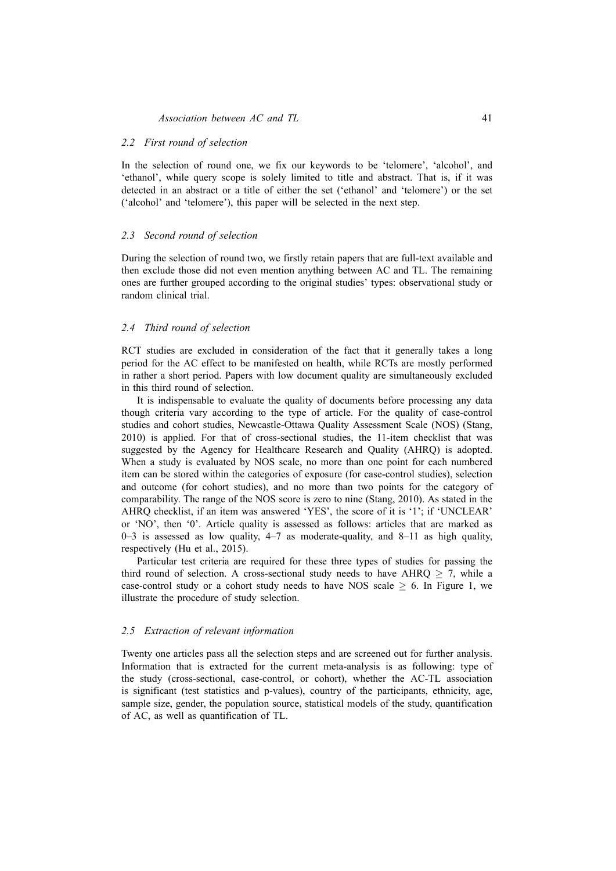#### *2.2 First round of selection*

In the selection of round one, we fix our keywords to be 'telomere', 'alcohol', and 'ethanol', while query scope is solely limited to title and abstract. That is, if it was detected in an abstract or a title of either the set ('ethanol' and 'telomere') or the set ('alcohol' and 'telomere'), this paper will be selected in the next step.

#### *2.3 Second round of selection*

During the selection of round two, we firstly retain papers that are full-text available and then exclude those did not even mention anything between AC and TL. The remaining ones are further grouped according to the original studies' types: observational study or random clinical trial.

#### *2.4 Third round of selection*

RCT studies are excluded in consideration of the fact that it generally takes a long period for the AC effect to be manifested on health, while RCTs are mostly performed in rather a short period. Papers with low document quality are simultaneously excluded in this third round of selection.

It is indispensable to evaluate the quality of documents before processing any data though criteria vary according to the type of article. For the quality of case-control studies and cohort studies, Newcastle-Ottawa Quality Assessment Scale (NOS) (Stang, 2010) is applied. For that of cross-sectional studies, the 11-item checklist that was suggested by the Agency for Healthcare Research and Quality (AHRQ) is adopted. When a study is evaluated by NOS scale, no more than one point for each numbered item can be stored within the categories of exposure (for case-control studies), selection and outcome (for cohort studies), and no more than two points for the category of comparability. The range of the NOS score is zero to nine (Stang, 2010). As stated in the AHRQ checklist, if an item was answered 'YES', the score of it is '1'; if 'UNCLEAR' or 'NO', then '0'. Article quality is assessed as follows: articles that are marked as  $0-3$  is assessed as low quality,  $4-7$  as moderate-quality, and  $8-11$  as high quality, respectively (Hu et al., 2015).

Particular test criteria are required for these three types of studies for passing the third round of selection. A cross-sectional study needs to have AHRQ  $\geq$  7, while a case-control study or a cohort study needs to have NOS scale  $\geq 6$ . In Figure 1, we illustrate the procedure of study selection.

#### *2.5 Extraction of relevant information*

Twenty one articles pass all the selection steps and are screened out for further analysis. Information that is extracted for the current meta-analysis is as following: type of the study (cross-sectional, case-control, or cohort), whether the AC-TL association is significant (test statistics and p-values), country of the participants, ethnicity, age, sample size, gender, the population source, statistical models of the study, quantification of AC, as well as quantification of TL.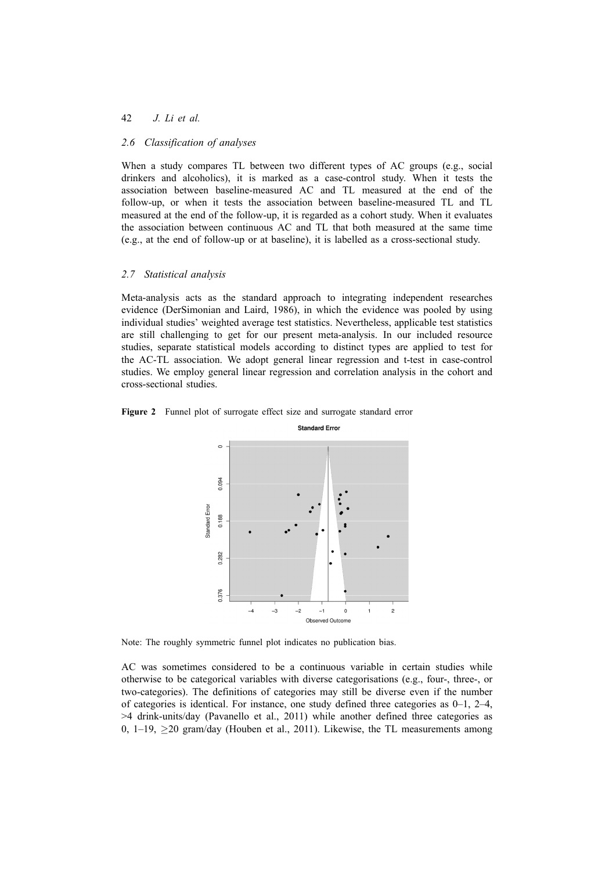#### 42 *J. Li et al.*

#### *2.6 Classification of analyses*

When a study compares TL between two different types of AC groups (e.g., social drinkers and alcoholics), it is marked as a case-control study. When it tests the association between baseline-measured AC and TL measured at the end of the follow-up, or when it tests the association between baseline-measured TL and TL measured at the end of the follow-up, it is regarded as a cohort study. When it evaluates the association between continuous AC and TL that both measured at the same time (e.g., at the end of follow-up or at baseline), it is labelled as a cross-sectional study.

#### *2.7 Statistical analysis*

Meta-analysis acts as the standard approach to integrating independent researches evidence (DerSimonian and Laird, 1986), in which the evidence was pooled by using individual studies' weighted average test statistics. Nevertheless, applicable test statistics are still challenging to get for our present meta-analysis. In our included resource studies, separate statistical models according to distinct types are applied to test for the AC-TL association. We adopt general linear regression and t-test in case-control studies. We employ general linear regression and correlation analysis in the cohort and cross-sectional studies.





Note: The roughly symmetric funnel plot indicates no publication bias.

AC was sometimes considered to be a continuous variable in certain studies while otherwise to be categorical variables with diverse categorisations (e.g., four-, three-, or two-categories). The definitions of categories may still be diverse even if the number of categories is identical. For instance, one study defined three categories as 0–1, 2–4, >4 drink-units/day (Pavanello et al., 2011) while another defined three categories as 0, 1–19, *≥*20 gram/day (Houben et al., 2011). Likewise, the TL measurements among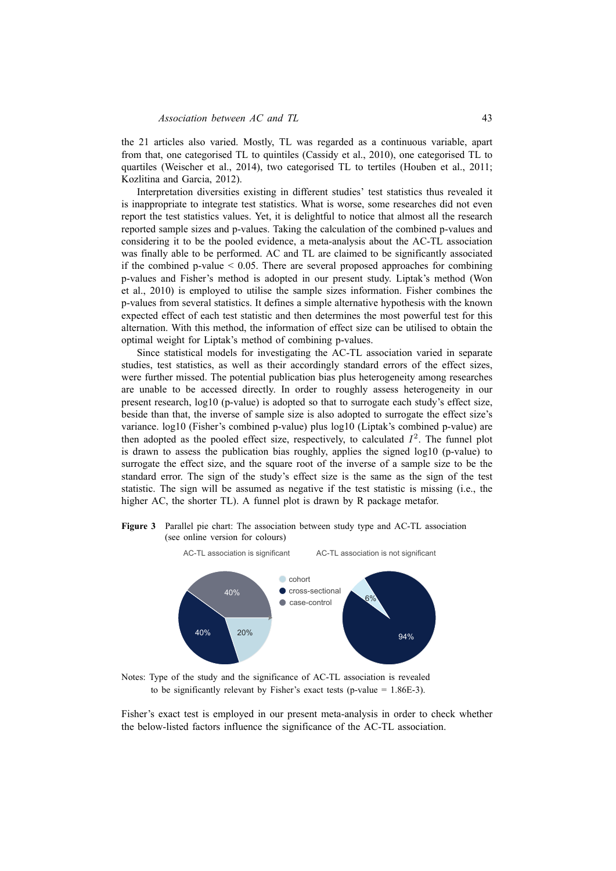the 21 articles also varied. Mostly, TL was regarded as a continuous variable, apart from that, one categorised TL to quintiles (Cassidy et al., 2010), one categorised TL to quartiles (Weischer et al., 2014), two categorised TL to tertiles (Houben et al., 2011; Kozlitina and Garcia, 2012).

Interpretation diversities existing in different studies' test statistics thus revealed it is inappropriate to integrate test statistics. What is worse, some researches did not even report the test statistics values. Yet, it is delightful to notice that almost all the research reported sample sizes and p-values. Taking the calculation of the combined p-values and considering it to be the pooled evidence, a meta-analysis about the AC-TL association was finally able to be performed. AC and TL are claimed to be significantly associated if the combined p-value  $\leq 0.05$ . There are several proposed approaches for combining p-values and Fisher's method is adopted in our present study. Liptak's method (Won et al., 2010) is employed to utilise the sample sizes information. Fisher combines the p-values from several statistics. It defines a simple alternative hypothesis with the known expected effect of each test statistic and then determines the most powerful test for this alternation. With this method, the information of effect size can be utilised to obtain the optimal weight for Liptak's method of combining p-values.

Since statistical models for investigating the AC-TL association varied in separate studies, test statistics, as well as their accordingly standard errors of the effect sizes, were further missed. The potential publication bias plus heterogeneity among researches are unable to be accessed directly. In order to roughly assess heterogeneity in our present research, log10 (p-value) is adopted so that to surrogate each study's effect size, beside than that, the inverse of sample size is also adopted to surrogate the effect size's variance. log10 (Fisher's combined p-value) plus log10 (Liptak's combined p-value) are then adopted as the pooled effect size, respectively, to calculated  $I^2$ . The funnel plot is drawn to assess the publication bias roughly, applies the signed log10 (p-value) to surrogate the effect size, and the square root of the inverse of a sample size to be the standard error. The sign of the study's effect size is the same as the sign of the test statistic. The sign will be assumed as negative if the test statistic is missing (i.e., the higher AC, the shorter TL). A funnel plot is drawn by R package metafor.

**Figure 3** Parallel pie chart: The association between study type and AC-TL association (see online version for colours)



Notes: Type of the study and the significance of AC-TL association is revealed to be significantly relevant by Fisher's exact tests (p-value  $= 1.86E-3$ ).

Fisher's exact test is employed in our present meta-analysis in order to check whether the below-listed factors influence the significance of the AC-TL association.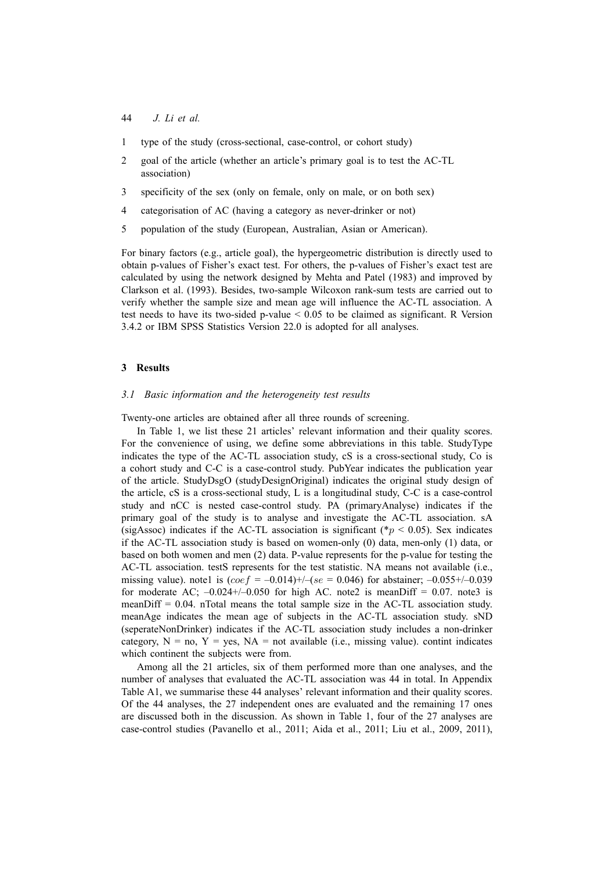- 1 type of the study (cross-sectional, case-control, or cohort study)
- 2 goal of the article (whether an article's primary goal is to test the AC-TL association)
- 3 specificity of the sex (only on female, only on male, or on both sex)
- 4 categorisation of AC (having a category as never-drinker or not)
- 5 population of the study (European, Australian, Asian or American).

For binary factors (e.g., article goal), the hypergeometric distribution is directly used to obtain p-values of Fisher's exact test. For others, the p-values of Fisher's exact test are calculated by using the network designed by Mehta and Patel (1983) and improved by Clarkson et al. (1993). Besides, two-sample Wilcoxon rank-sum tests are carried out to verify whether the sample size and mean age will influence the AC-TL association. A test needs to have its two-sided p-value < 0.05 to be claimed as significant. R Version 3.4.2 or IBM SPSS Statistics Version 22.0 is adopted for all analyses.

#### **3 Results**

#### *3.1 Basic information and the heterogeneity test results*

Twenty-one articles are obtained after all three rounds of screening.

In Table 1, we list these 21 articles' relevant information and their quality scores. For the convenience of using, we define some abbreviations in this table. StudyType indicates the type of the AC-TL association study, cS is a cross-sectional study, Co is a cohort study and C-C is a case-control study. PubYear indicates the publication year of the article. StudyDsgO (studyDesignOriginal) indicates the original study design of the article, cS is a cross-sectional study, L is a longitudinal study, C-C is a case-control study and nCC is nested case-control study. PA (primaryAnalyse) indicates if the primary goal of the study is to analyse and investigate the AC-TL association. sA (sigAssoc) indicates if the AC-TL association is significant ( $\hat{p}$  < 0.05). Sex indicates if the AC-TL association study is based on women-only (0) data, men-only (1) data, or based on both women and men (2) data. P-value represents for the p-value for testing the AC-TL association. testS represents for the test statistic. NA means not available (i.e., missing value). note1 is  $(coef = -0.014)$ +/-( $se = 0.046$ ) for abstainer; -0.055+/-0.039 for moderate AC;  $-0.024+/-0.050$  for high AC. note2 is meanDiff = 0.07. note3 is meanDiff  $= 0.04$ . nTotal means the total sample size in the AC-TL association study. meanAge indicates the mean age of subjects in the AC-TL association study. sND (seperateNonDrinker) indicates if the AC-TL association study includes a non-drinker category,  $N = no$ ,  $Y = yes$ ,  $NA = not available$  (i.e., missing value). contint indicates which continent the subjects were from.

Among all the 21 articles, six of them performed more than one analyses, and the number of analyses that evaluated the AC-TL association was 44 in total. In Appendix Table A1, we summarise these 44 analyses' relevant information and their quality scores. Of the 44 analyses, the 27 independent ones are evaluated and the remaining 17 ones are discussed both in the discussion. As shown in Table 1, four of the 27 analyses are case-control studies (Pavanello et al., 2011; Aida et al., 2011; Liu et al., 2009, 2011),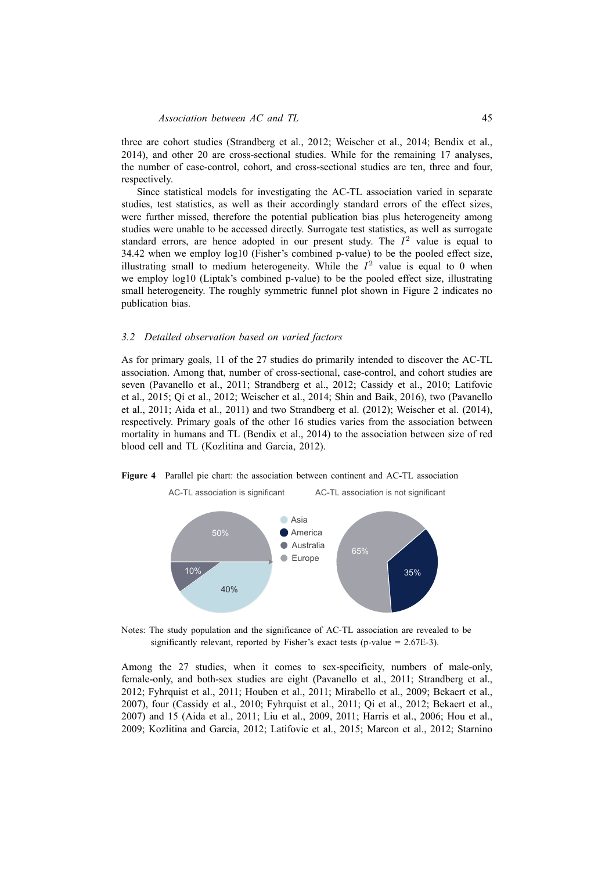three are cohort studies (Strandberg et al., 2012; Weischer et al., 2014; Bendix et al., 2014), and other 20 are cross-sectional studies. While for the remaining 17 analyses, the number of case-control, cohort, and cross-sectional studies are ten, three and four, respectively.

Since statistical models for investigating the AC-TL association varied in separate studies, test statistics, as well as their accordingly standard errors of the effect sizes, were further missed, therefore the potential publication bias plus heterogeneity among studies were unable to be accessed directly. Surrogate test statistics, as well as surrogate standard errors, are hence adopted in our present study. The  $I<sup>2</sup>$  value is equal to 34.42 when we employ log10 (Fisher's combined p-value) to be the pooled effect size, illustrating small to medium heterogeneity. While the  $I^2$  value is equal to 0 when we employ log10 (Liptak's combined p-value) to be the pooled effect size, illustrating small heterogeneity. The roughly symmetric funnel plot shown in Figure 2 indicates no publication bias.

#### *3.2 Detailed observation based on varied factors*

As for primary goals, 11 of the 27 studies do primarily intended to discover the AC-TL association. Among that, number of cross-sectional, case-control, and cohort studies are seven (Pavanello et al., 2011; Strandberg et al., 2012; Cassidy et al., 2010; Latifovic et al., 2015; Qi et al., 2012; Weischer et al., 2014; Shin and Baik, 2016), two (Pavanello et al., 2011; Aida et al., 2011) and two Strandberg et al. (2012); Weischer et al. (2014), respectively. Primary goals of the other 16 studies varies from the association between mortality in humans and TL (Bendix et al., 2014) to the association between size of red blood cell and TL (Kozlitina and Garcia, 2012).

#### **Figure 4** Parallel pie chart: the association between continent and AC-TL association



AC-TL association is significant AC-TL association is not significant

Notes: The study population and the significance of AC-TL association are revealed to be significantly relevant, reported by Fisher's exact tests (p-value  $= 2.67E-3$ ).

Among the 27 studies, when it comes to sex-specificity, numbers of male-only, female-only, and both-sex studies are eight (Pavanello et al., 2011; Strandberg et al., 2012; Fyhrquist et al., 2011; Houben et al., 2011; Mirabello et al., 2009; Bekaert et al., 2007), four (Cassidy et al., 2010; Fyhrquist et al., 2011; Qi et al., 2012; Bekaert et al., 2007) and 15 (Aida et al., 2011; Liu et al., 2009, 2011; Harris et al., 2006; Hou et al., 2009; Kozlitina and Garcia, 2012; Latifovic et al., 2015; Marcon et al., 2012; Starnino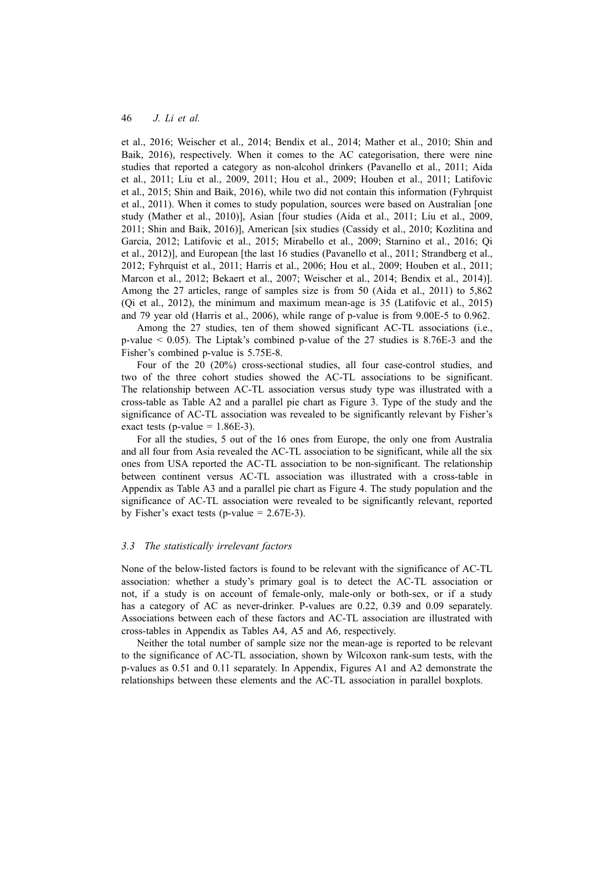et al., 2016; Weischer et al., 2014; Bendix et al., 2014; Mather et al., 2010; Shin and Baik, 2016), respectively. When it comes to the AC categorisation, there were nine studies that reported a category as non-alcohol drinkers (Pavanello et al., 2011; Aida et al., 2011; Liu et al., 2009, 2011; Hou et al., 2009; Houben et al., 2011; Latifovic et al., 2015; Shin and Baik, 2016), while two did not contain this information (Fyhrquist et al., 2011). When it comes to study population, sources were based on Australian [one study (Mather et al., 2010)], Asian [four studies (Aida et al., 2011; Liu et al., 2009, 2011; Shin and Baik, 2016)], American [six studies (Cassidy et al., 2010; Kozlitina and Garcia, 2012; Latifovic et al., 2015; Mirabello et al., 2009; Starnino et al., 2016; Qi et al., 2012)], and European [the last 16 studies (Pavanello et al., 2011; Strandberg et al., 2012; Fyhrquist et al., 2011; Harris et al., 2006; Hou et al., 2009; Houben et al., 2011; Marcon et al., 2012; Bekaert et al., 2007; Weischer et al., 2014; Bendix et al., 2014)]. Among the 27 articles, range of samples size is from 50 (Aida et al., 2011) to 5,862 (Qi et al., 2012), the minimum and maximum mean-age is 35 (Latifovic et al., 2015) and 79 year old (Harris et al., 2006), while range of p-value is from 9.00E-5 to 0.962.

Among the 27 studies, ten of them showed significant AC-TL associations (i.e., p-value < 0.05). The Liptak's combined p-value of the 27 studies is 8.76E-3 and the Fisher's combined p-value is 5.75E-8.

Four of the 20 (20%) cross-sectional studies, all four case-control studies, and two of the three cohort studies showed the AC-TL associations to be significant. The relationship between AC-TL association versus study type was illustrated with a cross-table as Table A2 and a parallel pie chart as Figure 3. Type of the study and the significance of AC-TL association was revealed to be significantly relevant by Fisher's exact tests (p-value  $= 1.86E-3$ ).

For all the studies, 5 out of the 16 ones from Europe, the only one from Australia and all four from Asia revealed the AC-TL association to be significant, while all the six ones from USA reported the AC-TL association to be non-significant. The relationship between continent versus AC-TL association was illustrated with a cross-table in Appendix as Table A3 and a parallel pie chart as Figure 4. The study population and the significance of AC-TL association were revealed to be significantly relevant, reported by Fisher's exact tests (p-value  $= 2.67E-3$ ).

#### *3.3 The statistically irrelevant factors*

None of the below-listed factors is found to be relevant with the significance of AC-TL association: whether a study's primary goal is to detect the AC-TL association or not, if a study is on account of female-only, male-only or both-sex, or if a study has a category of AC as never-drinker. P-values are 0.22, 0.39 and 0.09 separately. Associations between each of these factors and AC-TL association are illustrated with cross-tables in Appendix as Tables A4, A5 and A6, respectively.

Neither the total number of sample size nor the mean-age is reported to be relevant to the significance of AC-TL association, shown by Wilcoxon rank-sum tests, with the p-values as 0.51 and 0.11 separately. In Appendix, Figures A1 and A2 demonstrate the relationships between these elements and the AC-TL association in parallel boxplots.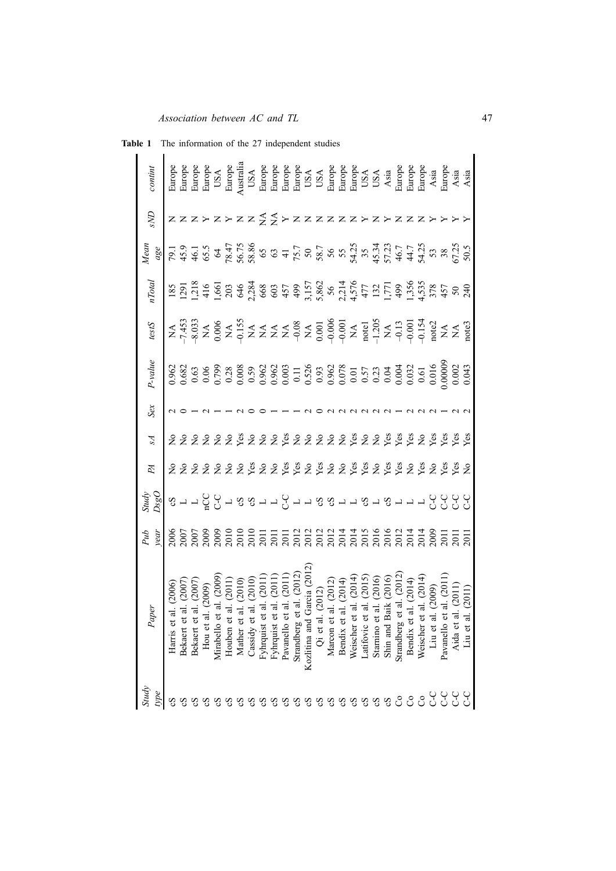| confinn       |                                                                                                                                                                                                                                                                                                                        |            |            |        |           |                                                                                                                                                                                                                                                                                                                                                                                                                                                                                                                |           |            |           |           |           |            |               |                                                                                                                                                                                                                                                       |           |           |                    |           |            |                  |                               |           |          |          |           |         | En personalität et al.<br>Burgue de la personalität et al.<br>Burgue de la personalität et al.<br>Burgue de la personalität et al.<br>Burgue de la personalität et al.<br>Burgue de la personalität et al.<br>Burgue de la personalität et al.                                                      |
|---------------|------------------------------------------------------------------------------------------------------------------------------------------------------------------------------------------------------------------------------------------------------------------------------------------------------------------------|------------|------------|--------|-----------|----------------------------------------------------------------------------------------------------------------------------------------------------------------------------------------------------------------------------------------------------------------------------------------------------------------------------------------------------------------------------------------------------------------------------------------------------------------------------------------------------------------|-----------|------------|-----------|-----------|-----------|------------|---------------|-------------------------------------------------------------------------------------------------------------------------------------------------------------------------------------------------------------------------------------------------------|-----------|-----------|--------------------|-----------|------------|------------------|-------------------------------|-----------|----------|----------|-----------|---------|-----------------------------------------------------------------------------------------------------------------------------------------------------------------------------------------------------------------------------------------------------------------------------------------------------|
| an            |                                                                                                                                                                                                                                                                                                                        |            |            |        |           | > z > z z z z > z z z z z z > z >                                                                                                                                                                                                                                                                                                                                                                                                                                                                              |           |            |           |           |           |            |               |                                                                                                                                                                                                                                                       |           |           |                    |           |            |                  |                               |           |          |          |           |         |                                                                                                                                                                                                                                                                                                     |
| Mean          | $\frac{88}{30} = 3.5$ $\frac{1}{2}$ $\frac{1}{3}$ $\frac{1}{3}$ $\frac{1}{3}$ $\frac{1}{3}$ $\frac{1}{3}$ $\frac{1}{3}$ $\frac{1}{3}$ $\frac{1}{3}$ $\frac{1}{3}$ $\frac{1}{3}$ $\frac{1}{3}$ $\frac{1}{3}$ $\frac{1}{3}$ $\frac{1}{3}$ $\frac{1}{3}$ $\frac{1}{3}$ $\frac{1}{3}$ $\frac{1}{3}$ $\frac{1}{3}$ $\frac{$ |            |            |        |           |                                                                                                                                                                                                                                                                                                                                                                                                                                                                                                                |           |            |           |           |           |            |               |                                                                                                                                                                                                                                                       |           |           |                    |           |            |                  |                               |           |          |          |           |         |                                                                                                                                                                                                                                                                                                     |
| <b>I</b> otal |                                                                                                                                                                                                                                                                                                                        |            |            |        |           |                                                                                                                                                                                                                                                                                                                                                                                                                                                                                                                |           |            |           |           |           |            |               |                                                                                                                                                                                                                                                       |           |           |                    |           |            |                  |                               |           |          |          |           |         |                                                                                                                                                                                                                                                                                                     |
| testS         |                                                                                                                                                                                                                                                                                                                        |            |            |        |           | $\begin{array}{l} \mathbb{A} \; \mathfrak{A}, \mathfrak{A}, \mathfrak{A}, \mathfrak{A} \; \mathfrak{A} \\ \mathfrak{A}, \mathfrak{A}, \mathfrak{A}, \mathfrak{A} \\ \mathfrak{A} \; \mathfrak{A}, \mathfrak{A} \; \mathfrak{A} \\ \mathfrak{A} \; \mathfrak{A} \; \mathfrak{A} \; \mathfrak{A} \\ \mathfrak{A} \; \mathfrak{A} \; \mathfrak{A} \; \mathfrak{A} \; \mathfrak{A} \; \mathfrak{A} \\ \mathfrak{A} \; \mathfrak{A} \$                                                                              |           |            |           |           |           |            |               |                                                                                                                                                                                                                                                       |           |           |                    |           |            |                  |                               |           |          |          |           |         |                                                                                                                                                                                                                                                                                                     |
| $-value$      |                                                                                                                                                                                                                                                                                                                        |            |            |        |           |                                                                                                                                                                                                                                                                                                                                                                                                                                                                                                                |           |            |           |           |           |            |               |                                                                                                                                                                                                                                                       |           |           |                    |           |            |                  |                               |           |          |          |           |         | $\begin{array}{l} 0.962 \\ 0.682 \\ 0.693 \\ 0.695 \\ 0.696 \\ 0.697 \\ 0.698 \\ 0.698 \\ 0.699 \\ 0.699 \\ 0.699 \\ 0.699 \\ 0.699 \\ 0.699 \\ 0.699 \\ 0.699 \\ 0.699 \\ 0.699 \\ 0.699 \\ 0.699 \\ 0.699 \\ 0.699 \\ 0.699 \\ 0.699 \\ 0.699 \\ 0.699 \\ 0.699 \\ 0.699 \\ 0.699 \\ 0.699 \\ 0.$ |
| $S\alpha$     |                                                                                                                                                                                                                                                                                                                        |            |            |        |           |                                                                                                                                                                                                                                                                                                                                                                                                                                                                                                                |           |            |           |           |           |            |               |                                                                                                                                                                                                                                                       |           |           |                    |           |            |                  |                               |           |          |          |           |         |                                                                                                                                                                                                                                                                                                     |
| Z             |                                                                                                                                                                                                                                                                                                                        |            |            |        |           | 2 2 2 2 2 2 3 2 2 2 3 2 2 2 2 2 3 2 2 3 3 3 2 3 3 3 3                                                                                                                                                                                                                                                                                                                                                                                                                                                          |           |            |           |           |           |            |               |                                                                                                                                                                                                                                                       |           |           |                    |           |            |                  |                               |           |          |          |           |         |                                                                                                                                                                                                                                                                                                     |
| ÞА            |                                                                                                                                                                                                                                                                                                                        |            |            |        |           | 2 2 2 2 2 2 2 3 2 2 3 3 2 3 2 2 3 3 2 3 3 2 3 2 3 2 3 3                                                                                                                                                                                                                                                                                                                                                                                                                                                        |           |            |           |           |           |            |               |                                                                                                                                                                                                                                                       |           |           |                    |           |            |                  |                               |           |          |          |           |         |                                                                                                                                                                                                                                                                                                     |
| Study<br>DsgC |                                                                                                                                                                                                                                                                                                                        |            |            |        |           | 영 그 그 겉 문 그 영 영 그 그 문 그 그 영 영 그 그 영 그 그 그 무 문 문 문 문                                                                                                                                                                                                                                                                                                                                                                                                                                                            |           |            |           |           |           |            |               |                                                                                                                                                                                                                                                       |           |           |                    |           |            |                  |                               |           |          |          |           |         |                                                                                                                                                                                                                                                                                                     |
| Pub<br>vear   |                                                                                                                                                                                                                                                                                                                        |            |            |        |           |                                                                                                                                                                                                                                                                                                                                                                                                                                                                                                                |           |            |           |           |           |            |               |                                                                                                                                                                                                                                                       |           |           |                    |           |            |                  |                               |           |          |          |           |         |                                                                                                                                                                                                                                                                                                     |
|               | 1. (2006)<br>1. (2007)<br>1. (2007)<br>(2009)<br>1. (2009)<br>1. (2011)<br>(2011)<br>(2011)<br>(2011)<br>(2011)<br>(2011)<br>(2011)<br>(2011)<br>Harris et                                                                                                                                                             | Bekaert et | Bekaert et | Hou et | Mirabello | $\begin{array}{c} \text{(a)} \ \text{(b)} \ \text{(c)} \ \text{(d)} \ \text{(e)} \ \text{(e)} \ \text{(f)} \ \text{(g)} \ \text{(h)} \ \text{(i)} \ \text{(j)} \ \text{(k)} \ \text{(k)} \ \text{(l)} \ \text{(l)} \ \text{(l)} \ \text{(l)} \ \text{(l)} \ \text{(l)} \ \text{(l)} \ \text{(l)} \ \text{(l)} \ \text{(l)} \ \text{(l)} \ \text{(l)} \ \text{(l)} \ \text{(l)} \ \text{(l)} \ \text{(l)} \ \text{(l)} \ \text{(l)} \ \text{(l)} \ \text{(l)} \ \text{(l)} \ \text{(l)} \ \text{($<br>Houben et | Mather et | Cassidy et | Fyhrquist | Fyhrquist | Pavanello | Strandberg | Kozlitina and | $(2012)$ $(2012)$ $(2014)$ $(2014)$ $(2015)$ $(2016)$ $(2016)$ $(2017)$ $(2018)$ $(2016)$ $(2017)$ $(2018)$ $(2019)$ $(2019)$ $(2019)$ $(2009)$ $(2009)$ $(2011)$ $(2011)$ $(2011)$ $(2011)$<br>Garc $(20$<br>$\frac{1}{a}$ $\frac{1}{a}$<br>Qi et al | Marcon et | Bendix et | et al.<br>Weischer | Latifovic | Starnino e | Baik<br>Shin and | ${\it et\,\,a}$<br>Strandberg | Bendix et | Weischer | Liu et a | Pavanello | Aida et | Liu et al.                                                                                                                                                                                                                                                                                          |
| Study<br>type |                                                                                                                                                                                                                                                                                                                        |            |            |        |           |                                                                                                                                                                                                                                                                                                                                                                                                                                                                                                                |           |            |           |           |           |            |               |                                                                                                                                                                                                                                                       |           |           |                    |           | ςS         | ςS               | රි                            | S         | S        | J        | J         | C-C     | С<br>С                                                                                                                                                                                                                                                                                              |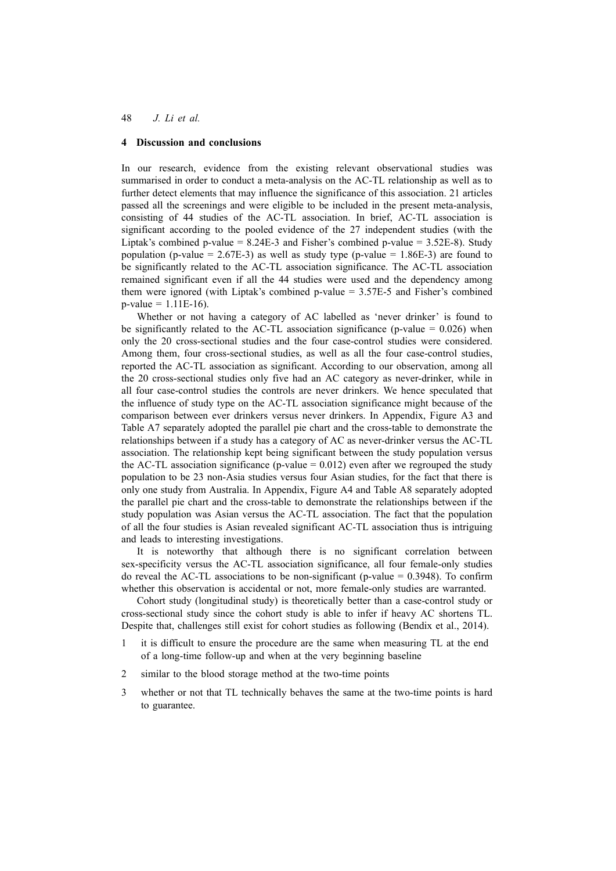#### **4 Discussion and conclusions**

In our research, evidence from the existing relevant observational studies was summarised in order to conduct a meta-analysis on the AC-TL relationship as well as to further detect elements that may influence the significance of this association. 21 articles passed all the screenings and were eligible to be included in the present meta-analysis, consisting of 44 studies of the AC-TL association. In brief, AC-TL association is significant according to the pooled evidence of the 27 independent studies (with the Liptak's combined p-value = 8.24E-3 and Fisher's combined p-value = 3.52E-8). Study population (p-value =  $2.67E-3$ ) as well as study type (p-value =  $1.86E-3$ ) are found to be significantly related to the AC-TL association significance. The AC-TL association remained significant even if all the 44 studies were used and the dependency among them were ignored (with Liptak's combined p-value = 3.57E-5 and Fisher's combined  $p$ -value = 1.11E-16).

Whether or not having a category of AC labelled as 'never drinker' is found to be significantly related to the AC-TL association significance (p-value  $= 0.026$ ) when only the 20 cross-sectional studies and the four case-control studies were considered. Among them, four cross-sectional studies, as well as all the four case-control studies, reported the AC-TL association as significant. According to our observation, among all the 20 cross-sectional studies only five had an AC category as never-drinker, while in all four case-control studies the controls are never drinkers. We hence speculated that the influence of study type on the AC-TL association significance might because of the comparison between ever drinkers versus never drinkers. In Appendix, Figure A3 and Table A7 separately adopted the parallel pie chart and the cross-table to demonstrate the relationships between if a study has a category of AC as never-drinker versus the AC-TL association. The relationship kept being significant between the study population versus the AC-TL association significance (p-value  $= 0.012$ ) even after we regrouped the study population to be 23 non-Asia studies versus four Asian studies, for the fact that there is only one study from Australia. In Appendix, Figure A4 and Table A8 separately adopted the parallel pie chart and the cross-table to demonstrate the relationships between if the study population was Asian versus the AC-TL association. The fact that the population of all the four studies is Asian revealed significant AC-TL association thus is intriguing and leads to interesting investigations.

It is noteworthy that although there is no significant correlation between sex-specificity versus the AC-TL association significance, all four female-only studies do reveal the AC-TL associations to be non-significant (p-value  $= 0.3948$ ). To confirm whether this observation is accidental or not, more female-only studies are warranted.

Cohort study (longitudinal study) is theoretically better than a case-control study or cross-sectional study since the cohort study is able to infer if heavy AC shortens TL. Despite that, challenges still exist for cohort studies as following (Bendix et al., 2014).

- 1 it is difficult to ensure the procedure are the same when measuring TL at the end of a long-time follow-up and when at the very beginning baseline
- 2 similar to the blood storage method at the two-time points
- 3 whether or not that TL technically behaves the same at the two-time points is hard to guarantee.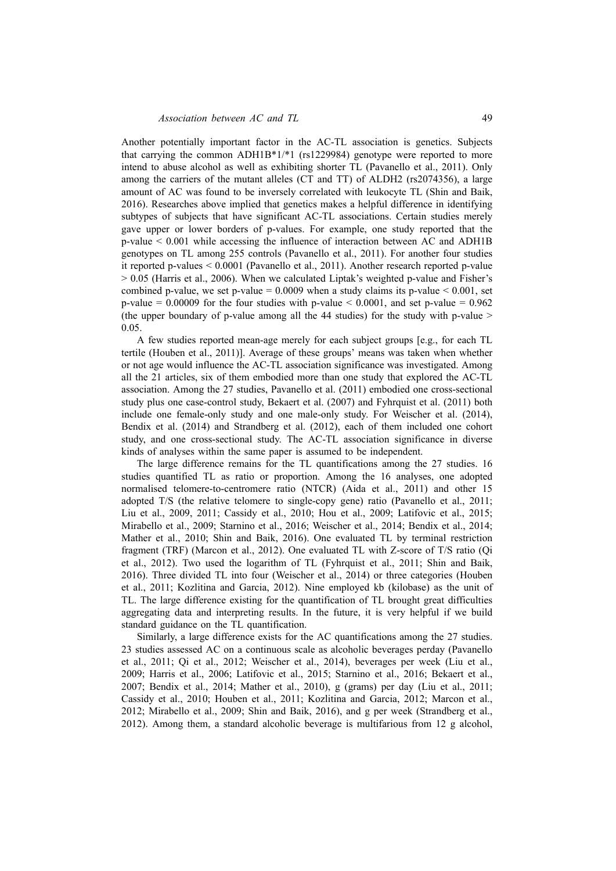Another potentially important factor in the AC-TL association is genetics. Subjects that carrying the common ADH1B\*1/\*1 (rs1229984) genotype were reported to more intend to abuse alcohol as well as exhibiting shorter TL (Pavanello et al., 2011). Only among the carriers of the mutant alleles (CT and TT) of ALDH2 (rs2074356), a large amount of AC was found to be inversely correlated with leukocyte TL (Shin and Baik, 2016). Researches above implied that genetics makes a helpful difference in identifying subtypes of subjects that have significant AC-TL associations. Certain studies merely gave upper or lower borders of p-values. For example, one study reported that the p-value < 0.001 while accessing the influence of interaction between AC and ADH1B genotypes on TL among 255 controls (Pavanello et al., 2011). For another four studies it reported p-values < 0.0001 (Pavanello et al., 2011). Another research reported p-value > 0.05 (Harris et al., 2006). When we calculated Liptak's weighted p-value and Fisher's combined p-value, we set p-value =  $0.0009$  when a study claims its p-value  $< 0.001$ , set p-value  $= 0.00009$  for the four studies with p-value  $\leq 0.0001$ , and set p-value  $= 0.962$ (the upper boundary of p-value among all the 44 studies) for the study with p-value > 0.05.

A few studies reported mean-age merely for each subject groups [e.g., for each TL tertile (Houben et al., 2011)]. Average of these groups' means was taken when whether or not age would influence the AC-TL association significance was investigated. Among all the 21 articles, six of them embodied more than one study that explored the AC-TL association. Among the 27 studies, Pavanello et al. (2011) embodied one cross-sectional study plus one case-control study, Bekaert et al. (2007) and Fyhrquist et al. (2011) both include one female-only study and one male-only study. For Weischer et al. (2014), Bendix et al. (2014) and Strandberg et al. (2012), each of them included one cohort study, and one cross-sectional study. The AC-TL association significance in diverse kinds of analyses within the same paper is assumed to be independent.

The large difference remains for the TL quantifications among the 27 studies. 16 studies quantified TL as ratio or proportion. Among the 16 analyses, one adopted normalised telomere-to-centromere ratio (NTCR) (Aida et al., 2011) and other 15 adopted T/S (the relative telomere to single-copy gene) ratio (Pavanello et al., 2011; Liu et al., 2009, 2011; Cassidy et al., 2010; Hou et al., 2009; Latifovic et al., 2015; Mirabello et al., 2009; Starnino et al., 2016; Weischer et al., 2014; Bendix et al., 2014; Mather et al., 2010; Shin and Baik, 2016). One evaluated TL by terminal restriction fragment (TRF) (Marcon et al., 2012). One evaluated TL with Z-score of T/S ratio (Qi et al., 2012). Two used the logarithm of TL (Fyhrquist et al., 2011; Shin and Baik, 2016). Three divided TL into four (Weischer et al., 2014) or three categories (Houben et al., 2011; Kozlitina and Garcia, 2012). Nine employed kb (kilobase) as the unit of TL. The large difference existing for the quantification of TL brought great difficulties aggregating data and interpreting results. In the future, it is very helpful if we build standard guidance on the TL quantification.

Similarly, a large difference exists for the AC quantifications among the 27 studies. 23 studies assessed AC on a continuous scale as alcoholic beverages perday (Pavanello et al., 2011; Qi et al., 2012; Weischer et al., 2014), beverages per week (Liu et al., 2009; Harris et al., 2006; Latifovic et al., 2015; Starnino et al., 2016; Bekaert et al., 2007; Bendix et al., 2014; Mather et al., 2010), g (grams) per day (Liu et al., 2011; Cassidy et al., 2010; Houben et al., 2011; Kozlitina and Garcia, 2012; Marcon et al., 2012; Mirabello et al., 2009; Shin and Baik, 2016), and g per week (Strandberg et al., 2012). Among them, a standard alcoholic beverage is multifarious from 12 g alcohol,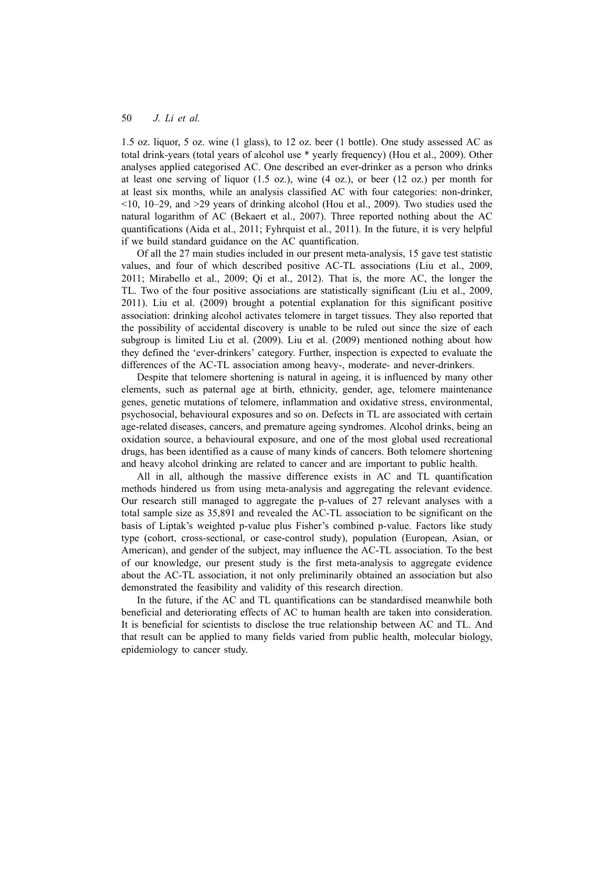1.5 oz. liquor, 5 oz. wine (1 glass), to 12 oz. beer (1 bottle). One study assessed AC as total drink-years (total years of alcohol use \* yearly frequency) (Hou et al., 2009). Other analyses applied categorised AC. One described an ever-drinker as a person who drinks at least one serving of liquor  $(1.5 \text{ oz.})$ , wine  $(4 \text{ oz.})$ , or beer  $(12 \text{ oz.})$  per month for at least six months, while an analysis classified AC with four categories: non-drinker,  $\leq$ 10, 10–29, and  $\geq$ 29 years of drinking alcohol (Hou et al., 2009). Two studies used the natural logarithm of AC (Bekaert et al., 2007). Three reported nothing about the AC quantifications (Aida et al., 2011; Fyhrquist et al., 2011). In the future, it is very helpful if we build standard guidance on the AC quantification.

Of all the 27 main studies included in our present meta-analysis, 15 gave test statistic values, and four of which described positive AC-TL associations (Liu et al., 2009, 2011; Mirabello et al., 2009; Qi et al., 2012). That is, the more AC, the longer the TL. Two of the four positive associations are statistically significant (Liu et al., 2009, 2011). Liu et al. (2009) brought a potential explanation for this significant positive association: drinking alcohol activates telomere in target tissues. They also reported that the possibility of accidental discovery is unable to be ruled out since the size of each subgroup is limited Liu et al. (2009). Liu et al. (2009) mentioned nothing about how they defined the 'ever-drinkers' category. Further, inspection is expected to evaluate the differences of the AC-TL association among heavy-, moderate- and never-drinkers.

Despite that telomere shortening is natural in ageing, it is influenced by many other elements, such as paternal age at birth, ethnicity, gender, age, telomere maintenance genes, genetic mutations of telomere, inflammation and oxidative stress, environmental, psychosocial, behavioural exposures and so on. Defects in TL are associated with certain age-related diseases, cancers, and premature ageing syndromes. Alcohol drinks, being an oxidation source, a behavioural exposure, and one of the most global used recreational drugs, has been identified as a cause of many kinds of cancers. Both telomere shortening and heavy alcohol drinking are related to cancer and are important to public health.

All in all, although the massive difference exists in AC and TL quantification methods hindered us from using meta-analysis and aggregating the relevant evidence. Our research still managed to aggregate the p-values of 27 relevant analyses with a total sample size as 35,891 and revealed the AC-TL association to be significant on the basis of Liptak's weighted p-value plus Fisher's combined p-value. Factors like study type (cohort, cross-sectional, or case-control study), population (European, Asian, or American), and gender of the subject, may influence the AC-TL association. To the best of our knowledge, our present study is the first meta-analysis to aggregate evidence about the AC-TL association, it not only preliminarily obtained an association but also demonstrated the feasibility and validity of this research direction.

In the future, if the AC and TL quantifications can be standardised meanwhile both beneficial and deteriorating effects of AC to human health are taken into consideration. It is beneficial for scientists to disclose the true relationship between AC and TL. And that result can be applied to many fields varied from public health, molecular biology, epidemiology to cancer study.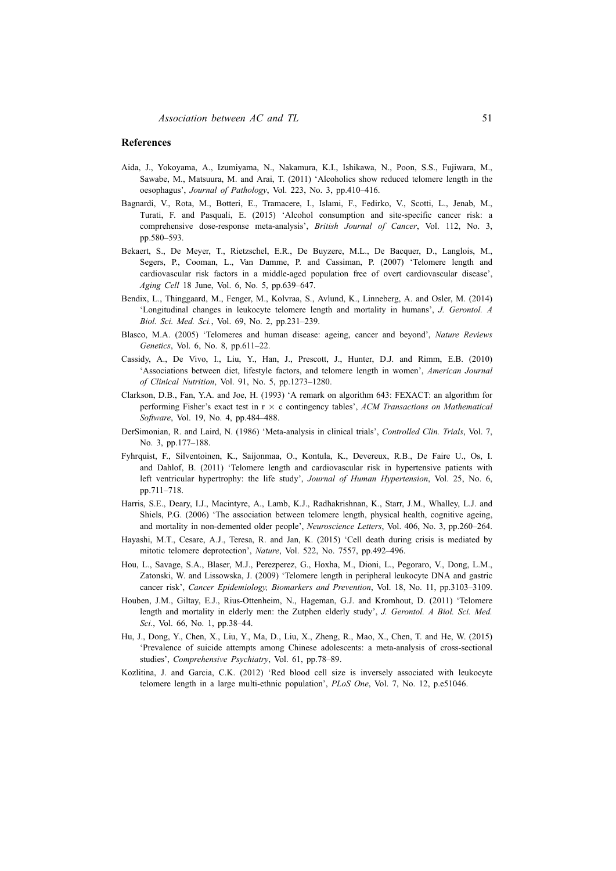#### **References**

- Aida, J., Yokoyama, A., Izumiyama, N., Nakamura, K.I., Ishikawa, N., Poon, S.S., Fujiwara, M., Sawabe, M., Matsuura, M. and Arai, T. (2011) 'Alcoholics show reduced telomere length in the oesophagus', *Journal of Pathology*, Vol. 223, No. 3, pp.410–416.
- Bagnardi, V., Rota, M., Botteri, E., Tramacere, I., Islami, F., Fedirko, V., Scotti, L., Jenab, M., Turati, F. and Pasquali, E. (2015) 'Alcohol consumption and site-specific cancer risk: a comprehensive dose-response meta-analysis', *British Journal of Cancer*, Vol. 112, No. 3, pp.580–593.
- Bekaert, S., De Meyer, T., Rietzschel, E.R., De Buyzere, M.L., De Bacquer, D., Langlois, M., Segers, P., Cooman, L., Van Damme, P. and Cassiman, P. (2007) 'Telomere length and cardiovascular risk factors in a middle-aged population free of overt cardiovascular disease', *Aging Cell* 18 June, Vol. 6, No. 5, pp.639–647.
- Bendix, L., Thinggaard, M., Fenger, M., Kolvraa, S., Avlund, K., Linneberg, A. and Osler, M. (2014) 'Longitudinal changes in leukocyte telomere length and mortality in humans', *J. Gerontol. A Biol. Sci. Med. Sci.*, Vol. 69, No. 2, pp.231–239.
- Blasco, M.A. (2005) 'Telomeres and human disease: ageing, cancer and beyond', *Nature Reviews Genetics*, Vol. 6, No. 8, pp.611–22.
- Cassidy, A., De Vivo, I., Liu, Y., Han, J., Prescott, J., Hunter, D.J. and Rimm, E.B. (2010) 'Associations between diet, lifestyle factors, and telomere length in women', *American Journal of Clinical Nutrition*, Vol. 91, No. 5, pp.1273–1280.
- Clarkson, D.B., Fan, Y.A. and Joe, H. (1993) 'A remark on algorithm 643: FEXACT: an algorithm for performing Fisher's exact test in r *×* c contingency tables', *ACM Transactions on Mathematical Software*, Vol. 19, No. 4, pp.484–488.
- DerSimonian, R. and Laird, N. (1986) 'Meta-analysis in clinical trials', *Controlled Clin. Trials*, Vol. 7, No. 3, pp.177–188.
- Fyhrquist, F., Silventoinen, K., Saijonmaa, O., Kontula, K., Devereux, R.B., De Faire U., Os, I. and Dahlof, B. (2011) 'Telomere length and cardiovascular risk in hypertensive patients with left ventricular hypertrophy: the life study', *Journal of Human Hypertension*, Vol. 25, No. 6, pp.711–718.
- Harris, S.E., Deary, I.J., Macintyre, A., Lamb, K.J., Radhakrishnan, K., Starr, J.M., Whalley, L.J. and Shiels, P.G. (2006) 'The association between telomere length, physical health, cognitive ageing, and mortality in non-demented older people', *Neuroscience Letters*, Vol. 406, No. 3, pp.260–264.
- Hayashi, M.T., Cesare, A.J., Teresa, R. and Jan, K. (2015) 'Cell death during crisis is mediated by mitotic telomere deprotection', *Nature*, Vol. 522, No. 7557, pp.492–496.
- Hou, L., Savage, S.A., Blaser, M.J., Perezperez, G., Hoxha, M., Dioni, L., Pegoraro, V., Dong, L.M., Zatonski, W. and Lissowska, J. (2009) 'Telomere length in peripheral leukocyte DNA and gastric cancer risk', *Cancer Epidemiology, Biomarkers and Prevention*, Vol. 18, No. 11, pp.3103–3109.
- Houben, J.M., Giltay, E.J., Rius-Ottenheim, N., Hageman, G.J. and Kromhout, D. (2011) 'Telomere length and mortality in elderly men: the Zutphen elderly study', *J. Gerontol. A Biol. Sci. Med. Sci.*, Vol. 66, No. 1, pp.38–44.
- Hu, J., Dong, Y., Chen, X., Liu, Y., Ma, D., Liu, X., Zheng, R., Mao, X., Chen, T. and He, W. (2015) 'Prevalence of suicide attempts among Chinese adolescents: a meta-analysis of cross-sectional studies', *Comprehensive Psychiatry*, Vol. 61, pp.78–89.
- Kozlitina, J. and Garcia, C.K. (2012) 'Red blood cell size is inversely associated with leukocyte telomere length in a large multi-ethnic population', *PLoS One*, Vol. 7, No. 12, p.e51046.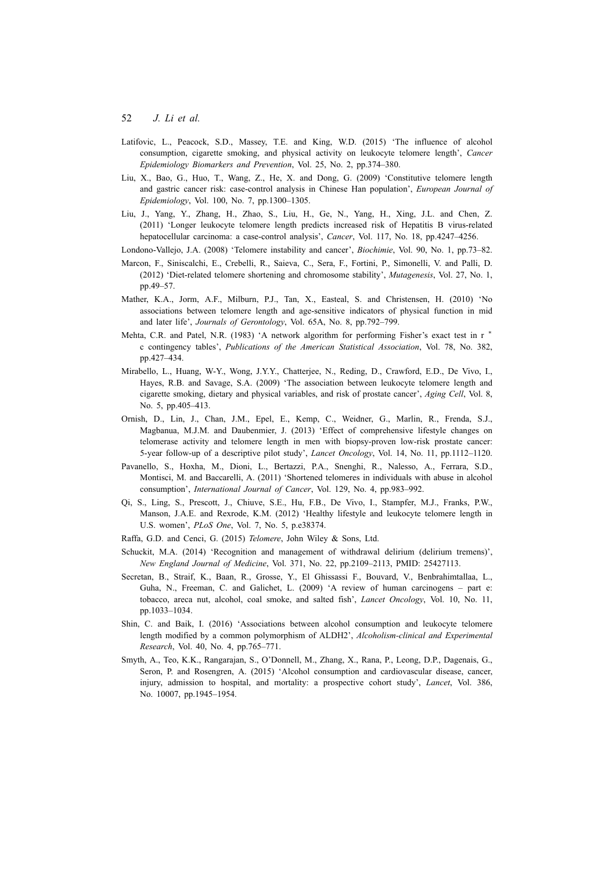- Latifovic, L., Peacock, S.D., Massey, T.E. and King, W.D. (2015) 'The influence of alcohol consumption, cigarette smoking, and physical activity on leukocyte telomere length', *Cancer Epidemiology Biomarkers and Prevention*, Vol. 25, No. 2, pp.374–380.
- Liu, X., Bao, G., Huo, T., Wang, Z., He, X. and Dong, G. (2009) 'Constitutive telomere length and gastric cancer risk: case-control analysis in Chinese Han population', *European Journal of Epidemiology*, Vol. 100, No. 7, pp.1300–1305.
- Liu, J., Yang, Y., Zhang, H., Zhao, S., Liu, H., Ge, N., Yang, H., Xing, J.L. and Chen, Z. (2011) 'Longer leukocyte telomere length predicts increased risk of Hepatitis B virus-related hepatocellular carcinoma: a case-control analysis', *Cancer*, Vol. 117, No. 18, pp.4247–4256.
- Londono-Vallejo, J.A. (2008) 'Telomere instability and cancer', *Biochimie*, Vol. 90, No. 1, pp.73–82.
- Marcon, F., Siniscalchi, E., Crebelli, R., Saieva, C., Sera, F., Fortini, P., Simonelli, V. and Palli, D. (2012) 'Diet-related telomere shortening and chromosome stability', *Mutagenesis*, Vol. 27, No. 1, pp.49–57.
- Mather, K.A., Jorm, A.F., Milburn, P.J., Tan, X., Easteal, S. and Christensen, H. (2010) 'No associations between telomere length and age-sensitive indicators of physical function in mid and later life', *Journals of Gerontology*, Vol. 65A, No. 8, pp.792–799.
- Mehta, C.R. and Patel, N.R. (1983) 'A network algorithm for performing Fisher's exact test in r *∗* c contingency tables', *Publications of the American Statistical Association*, Vol. 78, No. 382, pp.427–434.
- Mirabello, L., Huang, W-Y., Wong, J.Y.Y., Chatterjee, N., Reding, D., Crawford, E.D., De Vivo, I., Hayes, R.B. and Savage, S.A. (2009) 'The association between leukocyte telomere length and cigarette smoking, dietary and physical variables, and risk of prostate cancer', *Aging Cell*, Vol. 8, No. 5, pp.405–413.
- Ornish, D., Lin, J., Chan, J.M., Epel, E., Kemp, C., Weidner, G., Marlin, R., Frenda, S.J., Magbanua, M.J.M. and Daubenmier, J. (2013) 'Effect of comprehensive lifestyle changes on telomerase activity and telomere length in men with biopsy-proven low-risk prostate cancer: 5-year follow-up of a descriptive pilot study', *Lancet Oncology*, Vol. 14, No. 11, pp.1112–1120.
- Pavanello, S., Hoxha, M., Dioni, L., Bertazzi, P.A., Snenghi, R., Nalesso, A., Ferrara, S.D., Montisci, M. and Baccarelli, A. (2011) 'Shortened telomeres in individuals with abuse in alcohol consumption', *International Journal of Cancer*, Vol. 129, No. 4, pp.983–992.
- Qi, S., Ling, S., Prescott, J., Chiuve, S.E., Hu, F.B., De Vivo, I., Stampfer, M.J., Franks, P.W., Manson, J.A.E. and Rexrode, K.M. (2012) 'Healthy lifestyle and leukocyte telomere length in U.S. women', *PLoS One*, Vol. 7, No. 5, p.e38374.
- Raffa, G.D. and Cenci, G. (2015) *Telomere*, John Wiley & Sons, Ltd.
- Schuckit, M.A. (2014) 'Recognition and management of withdrawal delirium (delirium tremens)', *New England Journal of Medicine*, Vol. 371, No. 22, pp.2109–2113, PMID: 25427113.
- Secretan, B., Straif, K., Baan, R., Grosse, Y., El Ghissassi F., Bouvard, V., Benbrahimtallaa, L., Guha, N., Freeman, C. and Galichet, L. (2009) 'A review of human carcinogens – part e: tobacco, areca nut, alcohol, coal smoke, and salted fish', *Lancet Oncology*, Vol. 10, No. 11, pp.1033–1034.
- Shin, C. and Baik, I. (2016) 'Associations between alcohol consumption and leukocyte telomere length modified by a common polymorphism of ALDH2', *Alcoholism-clinical and Experimental Research*, Vol. 40, No. 4, pp.765–771.
- Smyth, A., Teo, K.K., Rangarajan, S., O'Donnell, M., Zhang, X., Rana, P., Leong, D.P., Dagenais, G., Seron, P. and Rosengren, A. (2015) 'Alcohol consumption and cardiovascular disease, cancer, injury, admission to hospital, and mortality: a prospective cohort study', *Lancet*, Vol. 386, No. 10007, pp.1945–1954.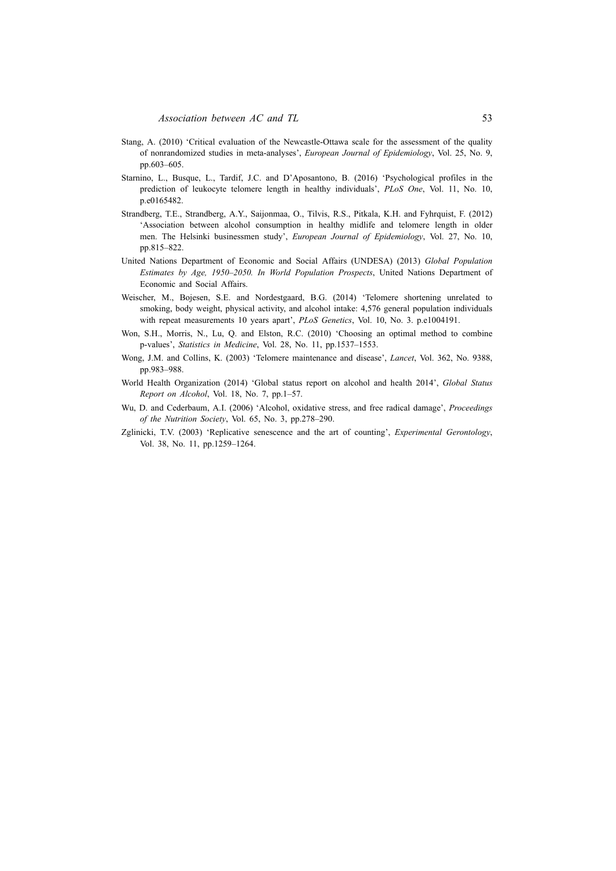- Stang, A. (2010) 'Critical evaluation of the Newcastle-Ottawa scale for the assessment of the quality of nonrandomized studies in meta-analyses', *European Journal of Epidemiology*, Vol. 25, No. 9, pp.603–605.
- Starnino, L., Busque, L., Tardif, J.C. and D'Aposantono, B. (2016) 'Psychological profiles in the prediction of leukocyte telomere length in healthy individuals', *PLoS One*, Vol. 11, No. 10, p.e0165482.
- Strandberg, T.E., Strandberg, A.Y., Saijonmaa, O., Tilvis, R.S., Pitkala, K.H. and Fyhrquist, F. (2012) 'Association between alcohol consumption in healthy midlife and telomere length in older men. The Helsinki businessmen study', *European Journal of Epidemiology*, Vol. 27, No. 10, pp.815–822.
- United Nations Department of Economic and Social Affairs (UNDESA) (2013) *Global Population Estimates by Age, 1950–2050. In World Population Prospects*, United Nations Department of Economic and Social Affairs.
- Weischer, M., Bojesen, S.E. and Nordestgaard, B.G. (2014) 'Telomere shortening unrelated to smoking, body weight, physical activity, and alcohol intake: 4,576 general population individuals with repeat measurements 10 years apart', *PLoS Genetics*, Vol. 10, No. 3. p.e1004191.
- Won, S.H., Morris, N., Lu, Q. and Elston, R.C. (2010) 'Choosing an optimal method to combine p-values', *Statistics in Medicine*, Vol. 28, No. 11, pp.1537–1553.
- Wong, J.M. and Collins, K. (2003) 'Telomere maintenance and disease', *Lancet*, Vol. 362, No. 9388, pp.983–988.
- World Health Organization (2014) 'Global status report on alcohol and health 2014', *Global Status Report on Alcohol*, Vol. 18, No. 7, pp.1–57.
- Wu, D. and Cederbaum, A.I. (2006) 'Alcohol, oxidative stress, and free radical damage', *Proceedings of the Nutrition Society*, Vol. 65, No. 3, pp.278–290.
- Zglinicki, T.V. (2003) 'Replicative senescence and the art of counting', *Experimental Gerontology*, Vol. 38, No. 11, pp.1259–1264.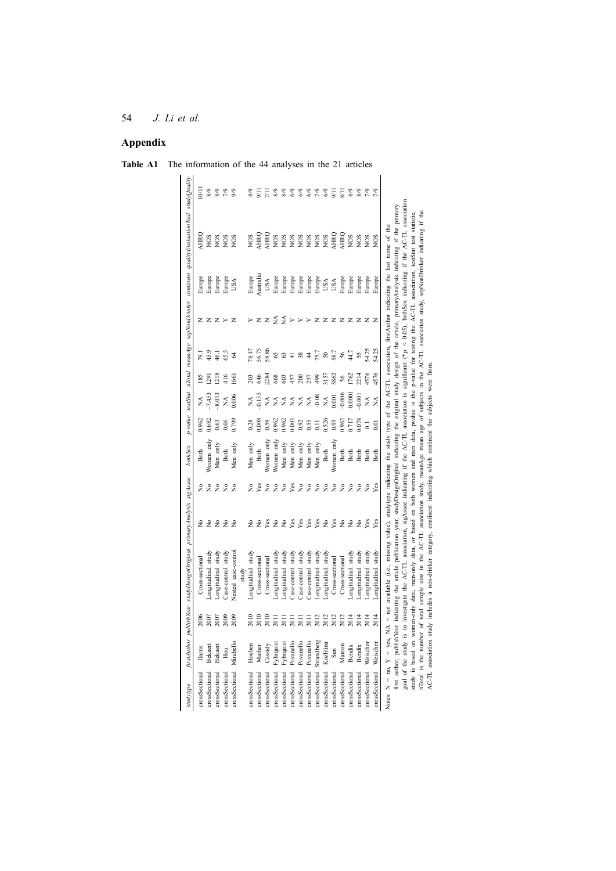### **Appendix**

| studytype      |               |      | firstAuthor publishYear studyDesignOriginal primaryAnalysis sigAssoc                                                                                                                              |                                |               | bothSex     |                  |               |                |                |                       |           | p-value testStat nTotal meanAge sepNonDrinker continent qualityEvaluationTool studyQuality                                                                                            |                         |
|----------------|---------------|------|---------------------------------------------------------------------------------------------------------------------------------------------------------------------------------------------------|--------------------------------|---------------|-------------|------------------|---------------|----------------|----------------|-----------------------|-----------|---------------------------------------------------------------------------------------------------------------------------------------------------------------------------------------|-------------------------|
| crossSectional | Harris        | 2006 | Cross-sectional                                                                                                                                                                                   |                                | ş             | Both        | 0.962            | ≸             | $\frac{85}{2}$ | Ŕ,             |                       | Europe    | AHRQ                                                                                                                                                                                  | $\overline{\mathbb{S}}$ |
| crossSectional | Bekaert       | 2007 | ongitudinal study                                                                                                                                                                                 | 222                            | $\tilde{z}$   | Vomen only  | 0.682            | 7.453         | $^{129}$       | 45.9           | zzz                   | Europe    | SON                                                                                                                                                                                   | 8/9                     |
| crossSectional | Bekaert       | 2007 | ongitudinal study                                                                                                                                                                                 |                                | $\tilde{z}$   | Men only    | 0.63             | $-8.033$      | 1218           | 46.1           |                       | Europe    | <b>NOS</b>                                                                                                                                                                            | 8/9                     |
| crossSectional | Hou           | 2009 | Case-control study                                                                                                                                                                                | 22                             | $\tilde{z}$   | <b>Both</b> | 0.06             | ≸             | 416            | 65.5           | $\rightarrow$         | Europe    | SON                                                                                                                                                                                   | 7/9                     |
| crossSectional | Mirabello     | 2009 | Vested case-control                                                                                                                                                                               |                                | $\tilde{z}$   | Men only    | 0.799            | 0.006         | 1661           | 2              | $\mathbb{Z}$          | USA       | <b>NOS</b>                                                                                                                                                                            | 9/6                     |
|                |               |      | study                                                                                                                                                                                             |                                |               |             |                  |               |                |                |                       |           |                                                                                                                                                                                       |                         |
| crossSectional | Houben        | 2010 | Longitudinal study                                                                                                                                                                                |                                | ż             | Men only    | 0.28             | ≸             | 203            | 78.47          | ↣                     | Europe    | <b>NOS</b>                                                                                                                                                                            | $\frac{8}{9}$           |
| crossSectional | Mather        | 2010 | Cross-sectional                                                                                                                                                                                   | 228                            | Yes           | Both        | 0.008            | 0.155         | 646            | 56.75          |                       | Australia | <b>HRQ</b>                                                                                                                                                                            | Ξ                       |
| crossSectional | Cassidy       | 2010 | Cross-sectional                                                                                                                                                                                   |                                | $\tilde{z}$   | Vomen only  | 0.59             | Ź             | 2284           | 58.86          | ZZ                    | USA       | AHRQ                                                                                                                                                                                  | $\bar{\Xi}$             |
| crossSectional | 'yhrquist     | 2011 | ongitudinal study                                                                                                                                                                                 | $\stackrel{\circ}{\mathsf{z}}$ | $\tilde{z}$   | Vomen only  | 0.962            | ≸             | 668            | 65             | $\frac{4}{2}$         | Europe    | NOS                                                                                                                                                                                   | 8/9                     |
| crossSectional | Fyhrquist     | 2011 | ongitudinal study                                                                                                                                                                                 | $\tilde{z}$                    | $\tilde{z}$   | Men only    | 0.962            | £             | 603            | 63             | $\tilde{z}$           | Europe    | <b>NOS</b>                                                                                                                                                                            | 8/9                     |
| crossSectional | Pavanello     | 2011 | Case-control study                                                                                                                                                                                | Yes                            | Yes           | Men only    | 0.003            | $\frac{1}{2}$ | 457            | $\overline{4}$ | $\blacktriangleright$ | Europe    | NOS                                                                                                                                                                                   | 6/9                     |
| crossSectional | Pavanello     | 2011 | Case-control study                                                                                                                                                                                | Yes<br>Yes                     |               | Men only    | 0.92             | ≸             | 200            | 384            | $\succ$ $\succ$       | Europe    | NOS                                                                                                                                                                                   | 69                      |
| crossSectional | Pavanello     | 2011 | Case-control study                                                                                                                                                                                |                                | 22            | Men only    | 0.55             | ≸             | 257            |                |                       | Europe    | <b>NOS</b>                                                                                                                                                                            | 69                      |
| crossSectional | Strandberg    | 2012 | ongitudinal study                                                                                                                                                                                 |                                |               | Men only    | $\Xi$            | $-0.08$       | 499            | 75.7           | $Z$ $Z$               | Europe    | NOS                                                                                                                                                                                   | 7/9                     |
| crossSectional | Kozlitina     | 2012 | ongitudinal study                                                                                                                                                                                 | $X \times S$                   | 222           | Both        | 0.526            | $\lessapprox$ | 3157           | $50\,$         |                       | USA       | NOS                                                                                                                                                                                   | 69                      |
| crossSectional | $\sin$        | 2012 | Cross-sectional                                                                                                                                                                                   |                                |               | Women only  | 0.93             | 0.001         | 5862           | 58.7           | $\mathbb{Z}$          | USA       | AHRQ                                                                                                                                                                                  | $\overline{5}$          |
| crossSectional | Marcon        | 2012 | Cross-sectional                                                                                                                                                                                   | $\tilde{z}$                    | $\tilde{z}$   | Both        | 0.962            | $-0.006$      | 56             | 56             | z                     | Europe    | AHRQ                                                                                                                                                                                  | $\overline{8}$          |
| crossSectional | Bendix        | 2014 | ongitudinal study                                                                                                                                                                                 | $\tilde{z}$                    | $\tilde{z}$   | Both        | 717              | 0.0001        | 1762           | 44.7           | $\mathbb{Z}$          | Europe    | NOS                                                                                                                                                                                   | 8/9                     |
| crossSectional | <b>Bendix</b> | 2014 | ongitudinal study                                                                                                                                                                                 | $\tilde{z}$                    | $\frac{1}{2}$ | Both        | 0.78             | $-0.001$      | 2214           | 55             | $\mathbb{Z}$          | Europe    | NOS                                                                                                                                                                                   | 8/9                     |
| crossSectional | Weischer      | 2014 | ongitudinal study                                                                                                                                                                                 | Yes                            | $\tilde{z}$   | Both        | $\overline{0}$ . | ≸             | 4576           | 54.25          | $\mathbb{Z}$          | Europe    | <b>NOS</b>                                                                                                                                                                            | 7/9                     |
| crossSectional | Weischer      | 2014 | ongitudinal study                                                                                                                                                                                 | Yes                            | Yes           | Both        | $\overline{0}$   | Ź             | 4576           | 54.25          |                       | Europe    | <b>NOS</b>                                                                                                                                                                            |                         |
| Notes:         |               |      | $N = \text{no}$ , $Y = \text{yes}$ , $NA = \text{not available}$ (i.e., missing value), studytype indicating the study type of the AC-TL association, firstAuthor indicating the last name of the |                                |               |             |                  |               |                |                |                       |           |                                                                                                                                                                                       |                         |
|                |               |      |                                                                                                                                                                                                   |                                |               |             |                  |               |                |                |                       |           | first author, publishYear indicating the article publication year, studyDesignOriginal indicating the original study design of the article, primaryAnalysis indicating if the primary |                         |
| goal,          |               |      | of the study is to investigate the AC-TL association, sigAssoc indicating if the AC-TL association is significant $e^*p < 0.05$ ), bothSex indicating if the                                      |                                |               |             |                  |               |                |                |                       |           | AC-TL association                                                                                                                                                                     |                         |
|                |               |      |                                                                                                                                                                                                   |                                |               |             |                  |               |                |                |                       |           | study is based on women-only data, men-only data, or based on both women and men data, pvalue is the p-value for testing the AC-TL association, testStat test statistic,              |                         |
|                |               |      |                                                                                                                                                                                                   |                                |               |             |                  |               |                |                |                       |           | nTotal is the number of total sample size in the AC-TL association study, meanAge mean age of subjects in the AC-TL association study, sepNonDrinker indicating if the                |                         |
|                |               |      | AC-TL association study includes a non-drinker category, continent indicating which continent the subjects were from                                                                              |                                |               |             |                  |               |                |                |                       |           |                                                                                                                                                                                       |                         |

**Table A1** The information of the 44 analyses in the 21 articles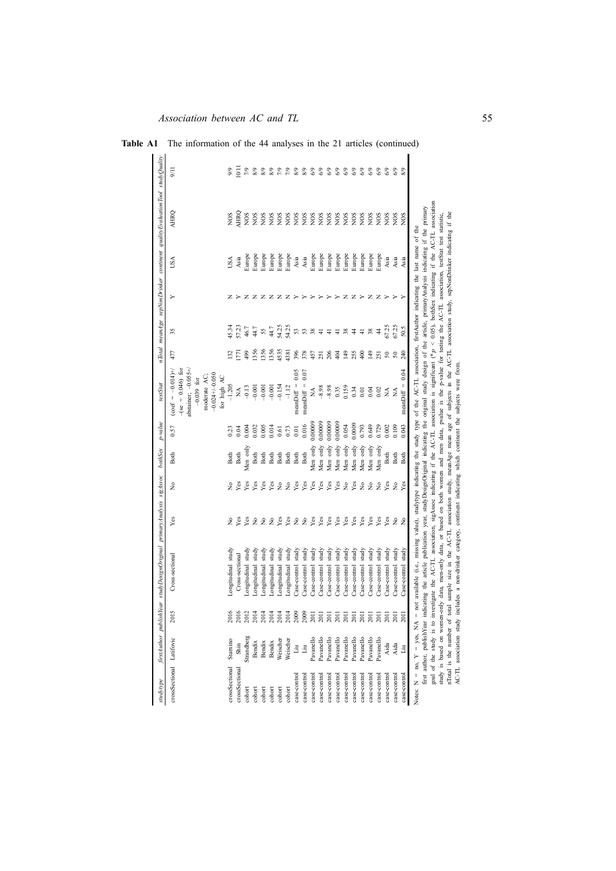| TrstAuthor publishYear studyDesignOriginal primaryAnalysis sigAssoc |                                                                             | bothSex                                  | p-value | estStat                                                                                                                             |                                                                               |                                                                                                                                  |                                                                                  |             | rTotal meanAge sepNonDrinker continent qualityEvaluationTool studyQuality |                                                                                                                                                                                                                                                                                                                                                                                                                                                                                                                                                                                                                                                                                                                                                                                                                                                                                                                                                         |
|---------------------------------------------------------------------|-----------------------------------------------------------------------------|------------------------------------------|---------|-------------------------------------------------------------------------------------------------------------------------------------|-------------------------------------------------------------------------------|----------------------------------------------------------------------------------------------------------------------------------|----------------------------------------------------------------------------------|-------------|---------------------------------------------------------------------------|---------------------------------------------------------------------------------------------------------------------------------------------------------------------------------------------------------------------------------------------------------------------------------------------------------------------------------------------------------------------------------------------------------------------------------------------------------------------------------------------------------------------------------------------------------------------------------------------------------------------------------------------------------------------------------------------------------------------------------------------------------------------------------------------------------------------------------------------------------------------------------------------------------------------------------------------------------|
| Yes<br>Cross-sectional                                              | ż                                                                           | Both                                     | 0.57    | abstainer; $-0.055+\nu$<br>$-(se = 0.046)$ for<br>$(\text{coef} = -0.014)$ +/<br>$-0.024 + (-0.050$<br>moderate AC:<br>$-0.039$ for | 477                                                                           | 35                                                                                                                               | ≻                                                                                | USA         | AHRQ                                                                      | 5/11                                                                                                                                                                                                                                                                                                                                                                                                                                                                                                                                                                                                                                                                                                                                                                                                                                                                                                                                                    |
| ż<br>Longitudinal study                                             | ż                                                                           | Both                                     | 0.23    | $-1.205$                                                                                                                            | 132                                                                           | 45.34                                                                                                                            |                                                                                  | USA         | SON                                                                       | 9/9                                                                                                                                                                                                                                                                                                                                                                                                                                                                                                                                                                                                                                                                                                                                                                                                                                                                                                                                                     |
| Yes<br>Cross-sectional                                              | Yes                                                                         | Both                                     | 0.04    | Ź                                                                                                                                   | $\overline{171}$                                                              | 57.23                                                                                                                            |                                                                                  | Asia        | <b>HRQ</b>                                                                | $\overline{\overline{}}$                                                                                                                                                                                                                                                                                                                                                                                                                                                                                                                                                                                                                                                                                                                                                                                                                                                                                                                                |
| Yes<br>Longitudinal study                                           | Yes                                                                         | Men only                                 | 0.004   | $-0.13$                                                                                                                             | 499                                                                           | 46.7                                                                                                                             | z                                                                                | Furope      | SON                                                                       | 5/2                                                                                                                                                                                                                                                                                                                                                                                                                                                                                                                                                                                                                                                                                                                                                                                                                                                                                                                                                     |
| £<br>study                                                          | Yes                                                                         | Both                                     | 0.032   | $-0.001$                                                                                                                            | 1356                                                                          |                                                                                                                                  | z                                                                                | Europe      | SON                                                                       | 8/9                                                                                                                                                                                                                                                                                                                                                                                                                                                                                                                                                                                                                                                                                                                                                                                                                                                                                                                                                     |
| study                                                               | Yes                                                                         | Both                                     | 0.005   | $-0.001$                                                                                                                            | 1356                                                                          | 55                                                                                                                               | z                                                                                | Europe      | SON                                                                       | 8/9                                                                                                                                                                                                                                                                                                                                                                                                                                                                                                                                                                                                                                                                                                                                                                                                                                                                                                                                                     |
| study                                                               | Yes                                                                         | Both                                     | 0.014   | $-0.001$                                                                                                                            | 1356                                                                          | 44.7                                                                                                                             |                                                                                  | Europe      | SON                                                                       | 8/9                                                                                                                                                                                                                                                                                                                                                                                                                                                                                                                                                                                                                                                                                                                                                                                                                                                                                                                                                     |
| Yes<br>study                                                        | $\tilde{z}$                                                                 | Both                                     | 0.61    | $-0.154$                                                                                                                            | 4535                                                                          | 54.25                                                                                                                            | z                                                                                |             |                                                                           | $\frac{5}{2}$                                                                                                                                                                                                                                                                                                                                                                                                                                                                                                                                                                                                                                                                                                                                                                                                                                                                                                                                           |
| study                                                               |                                                                             | Both                                     |         |                                                                                                                                     | 4381                                                                          | 54.25                                                                                                                            |                                                                                  | Europe      |                                                                           | $\frac{5}{2}$                                                                                                                                                                                                                                                                                                                                                                                                                                                                                                                                                                                                                                                                                                                                                                                                                                                                                                                                           |
| study                                                               |                                                                             | Both                                     |         | 0.05<br>$meanDiff =$                                                                                                                | 396                                                                           | $53\,$                                                                                                                           |                                                                                  | Asia        |                                                                           | 8/9                                                                                                                                                                                                                                                                                                                                                                                                                                                                                                                                                                                                                                                                                                                                                                                                                                                                                                                                                     |
| study                                                               | Yes                                                                         | Both                                     | 0.016   | 0.07<br>$meanDiff =$                                                                                                                | 378                                                                           |                                                                                                                                  |                                                                                  | Asia        |                                                                           | 8/9                                                                                                                                                                                                                                                                                                                                                                                                                                                                                                                                                                                                                                                                                                                                                                                                                                                                                                                                                     |
| Yes<br>study                                                        | Yes                                                                         | Men onl                                  |         | ₹                                                                                                                                   | 457                                                                           |                                                                                                                                  |                                                                                  | Europe      |                                                                           | 69                                                                                                                                                                                                                                                                                                                                                                                                                                                                                                                                                                                                                                                                                                                                                                                                                                                                                                                                                      |
| study                                                               | Yes                                                                         | Men only                                 |         |                                                                                                                                     | 251                                                                           | $\overline{+}$                                                                                                                   |                                                                                  | Europe      |                                                                           | 69                                                                                                                                                                                                                                                                                                                                                                                                                                                                                                                                                                                                                                                                                                                                                                                                                                                                                                                                                      |
| Yes<br>study                                                        | Yes                                                                         | Men only                                 |         |                                                                                                                                     |                                                                               | $\pm$                                                                                                                            |                                                                                  | Europe      |                                                                           | 69                                                                                                                                                                                                                                                                                                                                                                                                                                                                                                                                                                                                                                                                                                                                                                                                                                                                                                                                                      |
| study                                                               | Yes                                                                         | Men only                                 |         |                                                                                                                                     |                                                                               |                                                                                                                                  |                                                                                  |             |                                                                           | 69                                                                                                                                                                                                                                                                                                                                                                                                                                                                                                                                                                                                                                                                                                                                                                                                                                                                                                                                                      |
| Yes<br>study                                                        | $\tilde{z}$                                                                 | Men only                                 | 0.054   |                                                                                                                                     | 149                                                                           |                                                                                                                                  | z                                                                                | Europe      | NOS                                                                       | 69                                                                                                                                                                                                                                                                                                                                                                                                                                                                                                                                                                                                                                                                                                                                                                                                                                                                                                                                                      |
| Yes<br>study                                                        | Yes                                                                         | Men only                                 | 0.0009  |                                                                                                                                     |                                                                               |                                                                                                                                  | z                                                                                | Europe      |                                                                           | 6/9                                                                                                                                                                                                                                                                                                                                                                                                                                                                                                                                                                                                                                                                                                                                                                                                                                                                                                                                                     |
| Yes<br>study                                                        | $\tilde{z}$                                                                 | Men only                                 | 0.793   | 0.01                                                                                                                                | 400                                                                           | $\overline{4}$                                                                                                                   |                                                                                  | Europe      | SON                                                                       | $6\%$                                                                                                                                                                                                                                                                                                                                                                                                                                                                                                                                                                                                                                                                                                                                                                                                                                                                                                                                                   |
| Yes<br>study                                                        | $\tilde{z}$                                                                 | Men only                                 | 0.649   | 0.04                                                                                                                                | 149                                                                           |                                                                                                                                  | z                                                                                | Europe      |                                                                           | $6\%$                                                                                                                                                                                                                                                                                                                                                                                                                                                                                                                                                                                                                                                                                                                                                                                                                                                                                                                                                   |
| Yes<br>study                                                        |                                                                             | Men only                                 |         |                                                                                                                                     |                                                                               | $\frac{4}{3}$                                                                                                                    |                                                                                  | Europe      |                                                                           | 6/9                                                                                                                                                                                                                                                                                                                                                                                                                                                                                                                                                                                                                                                                                                                                                                                                                                                                                                                                                     |
| study                                                               | Yes                                                                         | Both                                     |         | ≸                                                                                                                                   | $50\,$                                                                        |                                                                                                                                  |                                                                                  | Asia        |                                                                           | 6/9                                                                                                                                                                                                                                                                                                                                                                                                                                                                                                                                                                                                                                                                                                                                                                                                                                                                                                                                                     |
| study                                                               |                                                                             | Both                                     | 0.109   | Ž                                                                                                                                   | 50                                                                            | 57.25                                                                                                                            |                                                                                  | Asia        | SON                                                                       | 3                                                                                                                                                                                                                                                                                                                                                                                                                                                                                                                                                                                                                                                                                                                                                                                                                                                                                                                                                       |
| study                                                               |                                                                             | Both                                     | 0.043   | meanDiff = $0.04$                                                                                                                   |                                                                               |                                                                                                                                  |                                                                                  | Asia        | SON                                                                       |                                                                                                                                                                                                                                                                                                                                                                                                                                                                                                                                                                                                                                                                                                                                                                                                                                                                                                                                                         |
|                                                                     |                                                                             |                                          |         |                                                                                                                                     |                                                                               |                                                                                                                                  |                                                                                  |             |                                                                           |                                                                                                                                                                                                                                                                                                                                                                                                                                                                                                                                                                                                                                                                                                                                                                                                                                                                                                                                                         |
|                                                                     |                                                                             |                                          |         |                                                                                                                                     |                                                                               |                                                                                                                                  |                                                                                  |             |                                                                           |                                                                                                                                                                                                                                                                                                                                                                                                                                                                                                                                                                                                                                                                                                                                                                                                                                                                                                                                                         |
|                                                                     |                                                                             |                                          |         |                                                                                                                                     |                                                                               |                                                                                                                                  |                                                                                  |             |                                                                           |                                                                                                                                                                                                                                                                                                                                                                                                                                                                                                                                                                                                                                                                                                                                                                                                                                                                                                                                                         |
|                                                                     |                                                                             |                                          |         |                                                                                                                                     |                                                                               |                                                                                                                                  |                                                                                  |             |                                                                           |                                                                                                                                                                                                                                                                                                                                                                                                                                                                                                                                                                                                                                                                                                                                                                                                                                                                                                                                                         |
|                                                                     |                                                                             |                                          |         |                                                                                                                                     |                                                                               |                                                                                                                                  |                                                                                  |             |                                                                           |                                                                                                                                                                                                                                                                                                                                                                                                                                                                                                                                                                                                                                                                                                                                                                                                                                                                                                                                                         |
|                                                                     |                                                                             |                                          |         |                                                                                                                                     |                                                                               |                                                                                                                                  |                                                                                  |             |                                                                           |                                                                                                                                                                                                                                                                                                                                                                                                                                                                                                                                                                                                                                                                                                                                                                                                                                                                                                                                                         |
|                                                                     | Yes<br>Yes<br>Yes<br>Yes<br>$z \nvert z$<br>$\hat{z}$<br>$\tilde{z}$<br>2 g | Yes<br>Les<br>$\tilde{z}$<br>$\tilde{z}$ |         | 0.00009<br>0.00009<br>0.00009<br>0.00009<br>0.729<br>0.002<br>0.73<br>0.01                                                          | for high AC<br>$-1.12$<br>$-8.98$<br>$-8.98$<br>0.159<br>0.35<br>0.34<br>0.02 | 206<br>255<br>404<br>251<br>240<br>includes a non-drinker category, continent indicating which continent the subjects were from. | 67.25<br>50.5<br>44.7<br>53<br>38<br>38<br>38<br>$\frac{4}{4}$<br>$\overline{+}$ | z<br>z<br>z | Europe<br>Europe                                                          | goal of the study is to investigate the AC-TL association, sigAssoc indicating if the AC-TL association is significant (*p < 0.05), bothSex indicating if the AC-TL association<br>indicating the article publication year, studyDesignOriginal indicating the original study design of the article, primaryAnalysis indicating if the primary<br>total sample size in the AC-TL association study, meanAge mean age of subjects in the AC-TL association study, sepNonDrinker indicating if the<br>study is based on women-only data, men-only data, or based on both women and men data, pvalue is the p-value for testing the AC-TL association, testStat test statistic,<br>NOS<br><b>SON</b><br>SON<br>NOS<br>NOS<br>NOS<br>NOS<br>NOS<br><b>NOS</b><br><b>NOS</b><br><b>NOS</b><br><b>NOS</b><br>= not available (i.e., missing value), studytype indicating the study type of the AC-TL association, firstAuthor indicating the last name of the |

**Table A1** The information of the 44 analyses in the 21 articles (continued)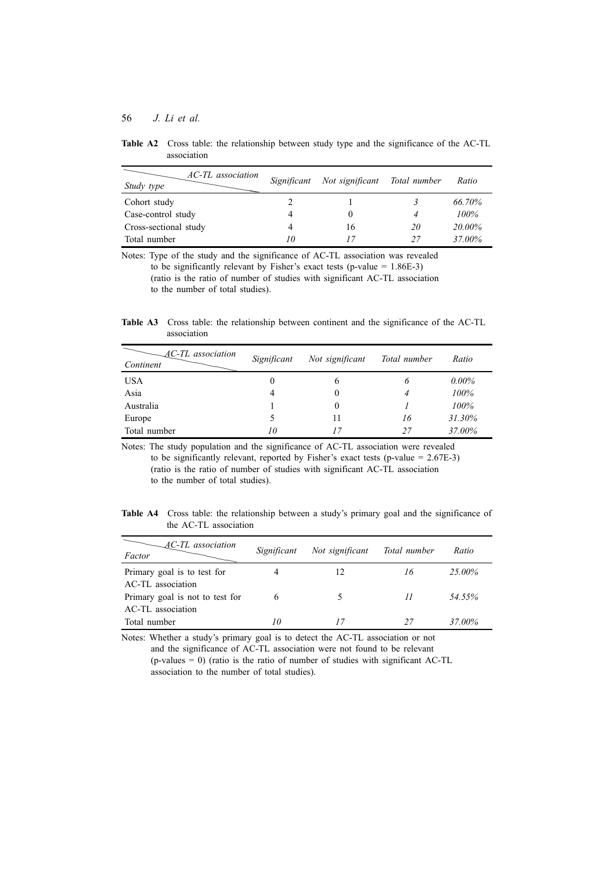| AC-TL association<br>Study type | Significant | Not significant | Total number | Ratio  |
|---------------------------------|-------------|-----------------|--------------|--------|
| Cohort study                    |             |                 |              | 66.70% |
| Case-control study              |             | $_{0}$          |              | 100%   |
| Cross-sectional study           |             | 16              | 20           | 20.00% |
| Total number                    | 10          | 17              | 27           | 37.00% |

**Table A2** Cross table: the relationship between study type and the significance of the AC-TL association

Notes: Type of the study and the significance of AC-TL association was revealed to be significantly relevant by Fisher's exact tests (p-value  $= 1.86E-3$ ) (ratio is the ratio of number of studies with significant AC-TL association to the number of total studies).

**Table A3** Cross table: the relationship between continent and the significance of the AC-TL association

| $AC$ -TL association<br>Continent | Significant | Not significant | Total number | Ratio    |
|-----------------------------------|-------------|-----------------|--------------|----------|
| <b>USA</b>                        | $\theta$    | 6               | 6            | $0.00\%$ |
| Asia                              | 4           |                 |              | 100%     |
| Australia                         |             |                 |              | 100%     |
| Europe                            | 5           | 11              | 16           | 31.30%   |
| Total number                      | 10          | 17              | 27           | 37.00%   |

Notes: The study population and the significance of AC-TL association were revealed to be significantly relevant, reported by Fisher's exact tests (p-value  $= 2.67E-3$ ) (ratio is the ratio of number of studies with significant AC-TL association to the number of total studies).

Table A4 Cross table: the relationship between a study's primary goal and the significance of the AC-TL association

| AC-TL association<br>Factor                          | Significant | Not significant | Total number | Ratio  |
|------------------------------------------------------|-------------|-----------------|--------------|--------|
| Primary goal is to test for                          |             | 12              | 16           | 25.00% |
| AC-TL association<br>Primary goal is not to test for | 6           |                 | 11           | 54.55% |
| AC-TL association<br>Total number                    | 10          | 17              | 27           | 37.00% |
|                                                      |             |                 |              |        |

Notes: Whether a study's primary goal is to detect the AC-TL association or not and the significance of AC-TL association were not found to be relevant  $(p$ -values = 0) (ratio is the ratio of number of studies with significant AC-TL association to the number of total studies).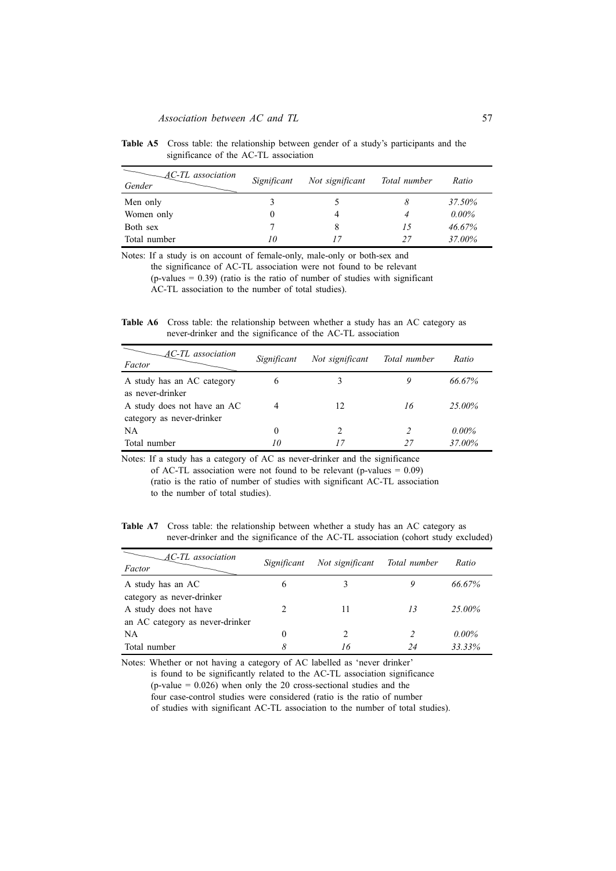| AC-TL association<br>Gender | Significant | Not significant | Total number | Ratio    |
|-----------------------------|-------------|-----------------|--------------|----------|
| Men only                    |             |                 |              | 37.50%   |
| Women only                  | $\theta$    |                 |              | $0.00\%$ |
| Both sex                    |             |                 | 15           | 46.67%   |
| Total number                | 10          |                 | 27           | 37.00%   |

**Table A5** Cross table: the relationship between gender of a study's participants and the significance of the AC-TL association

Notes: If a study is on account of female-only, male-only or both-sex and the significance of AC-TL association were not found to be relevant  $(p\n-values = 0.39)$  (ratio is the ratio of number of studies with significant AC-TL association to the number of total studies).

**Table A6** Cross table: the relationship between whether a study has an AC category as never-drinker and the significance of the AC-TL association

| AC-TL association<br>Factor | Significant | Not significant | Total number | Ratio    |
|-----------------------------|-------------|-----------------|--------------|----------|
| A study has an AC category  |             | 3               |              | 66.67%   |
| as never-drinker            |             |                 |              |          |
| A study does not have an AC |             | 12              | 16           | 25.00%   |
| category as never-drinker   |             |                 |              |          |
| NA.                         | $_{0}$      | 2               |              | $0.00\%$ |
| Total number                | 10          | 17              | 27           | 37.00%   |

Notes: If a study has a category of AC as never-drinker and the significance of AC-TL association were not found to be relevant (p-values  $= 0.09$ ) (ratio is the ratio of number of studies with significant AC-TL association to the number of total studies).

**Table A7** Cross table: the relationship between whether a study has an AC category as never-drinker and the significance of the AC-TL association (cohort study excluded)

| AC-TL association<br>Factor     | Significant | Not significant | Total number | Ratio    |
|---------------------------------|-------------|-----------------|--------------|----------|
| A study has an AC               | 6           |                 |              | 66.67%   |
| category as never-drinker       |             |                 |              |          |
| A study does not have           |             | 11              | 13           | 25.00%   |
| an AC category as never-drinker |             |                 |              |          |
| NA                              | $\theta$    |                 |              | $0.00\%$ |
| Total number                    | 8           | 16              |              | 33.33%   |

Notes: Whether or not having a category of AC labelled as 'never drinker' is found to be significantly related to the AC-TL association significance  $(p-value = 0.026)$  when only the 20 cross-sectional studies and the four case-control studies were considered (ratio is the ratio of number of studies with significant AC-TL association to the number of total studies).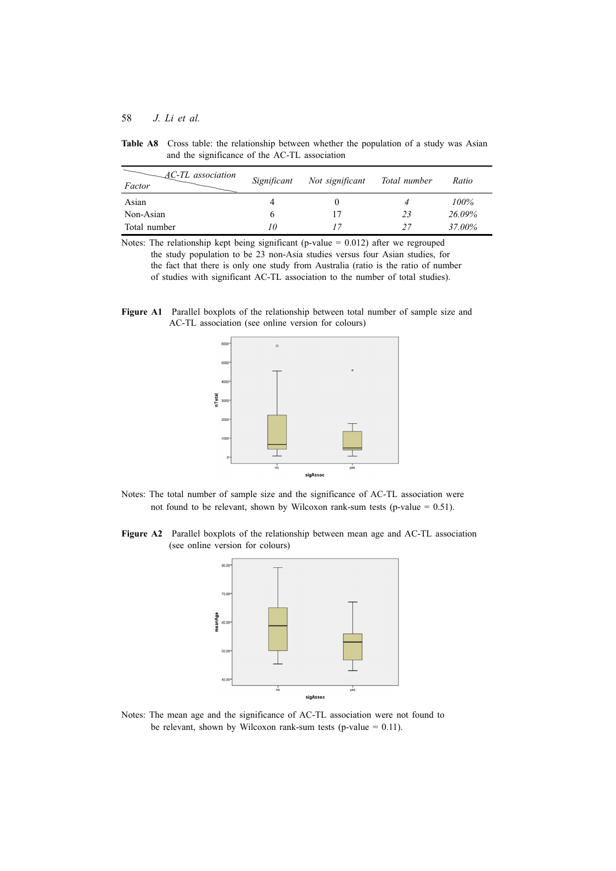| AC-TL association<br>Factor | Significant | Not significant | Total number | Ratio  |
|-----------------------------|-------------|-----------------|--------------|--------|
| Asian                       |             |                 |              | 100%   |
| Non-Asian                   | O           | 17              | 23           | 26.09% |
| Total number                | 10          |                 | 27           | 37.00% |

**Table A8** Cross table: the relationship between whether the population of a study was Asian and the significance of the AC-TL association

Notes: The relationship kept being significant (p-value  $= 0.012$ ) after we regrouped the study population to be 23 non-Asia studies versus four Asian studies, for the fact that there is only one study from Australia (ratio is the ratio of number of studies with significant AC-TL association to the number of total studies).

**Figure A1** Parallel boxplots of the relationship between total number of sample size and AC-TL association (see online version for colours)



- Notes: The total number of sample size and the significance of AC-TL association were not found to be relevant, shown by Wilcoxon rank-sum tests (p-value  $= 0.51$ ).
- **Figure A2** Parallel boxplots of the relationship between mean age and AC-TL association (see online version for colours)



Notes: The mean age and the significance of AC-TL association were not found to be relevant, shown by Wilcoxon rank-sum tests (p-value  $= 0.11$ ).